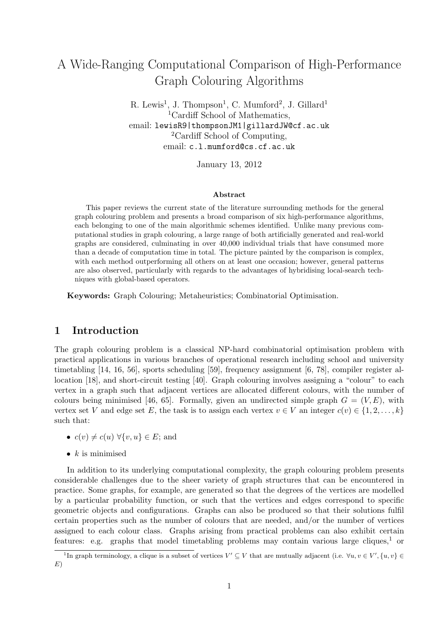# A Wide-Ranging Computational Comparison of High-Performance Graph Colouring Algorithms

R. Lewis<sup>1</sup>, J. Thompson<sup>1</sup>, C. Mumford<sup>2</sup>, J. Gillard<sup>1</sup> <sup>1</sup>Cardiff School of Mathematics, email: lewisR9|thompsonJM1|gillardJW@cf.ac.uk <sup>2</sup>Cardiff School of Computing, email: c.l.mumford@cs.cf.ac.uk

January 13, 2012

#### **Abstract**

This paper reviews the current state of the literature surrounding methods for the general graph colouring problem and presents a broad comparison of six high-performance algorithms, each belonging to one of the main algorithmic schemes identified. Unlike many previous computational studies in graph colouring, a large range of both artificially generated and real-world graphs are considered, culminating in over 40,000 individual trials that have consumed more than a decade of computation time in total. The picture painted by the comparison is complex, with each method outperforming all others on at least one occasion; however, general patterns are also observed, particularly with regards to the advantages of hybridising local-search techniques with global-based operators.

**Keywords:** Graph Colouring; Metaheuristics; Combinatorial Optimisation.

# **1 Introduction**

The graph colouring problem is a classical NP-hard combinatorial optimisation problem with practical applications in various branches of operational research including school and university timetabling [14, 16, 56], sports scheduling [59], frequency assignment [6, 78], compiler register allocation [18], and short-circuit testing [40]. Graph colouring involves assigning a "colour" to each vertex in a graph such that adjacent vertices are allocated different colours, with the number of colours being minimised [46, 65]. Formally, given an undirected simple graph  $G = (V, E)$ , with vertex set *V* and edge set *E*, the task is to assign each vertex  $v \in V$  an integer  $c(v) \in \{1, 2, \ldots, k\}$ such that:

- $c(v) \neq c(u) \ \forall \{v, u\} \in E$ ; and
- *• k* is minimised

In addition to its underlying computational complexity, the graph colouring problem presents considerable challenges due to the sheer variety of graph structures that can be encountered in practice. Some graphs, for example, are generated so that the degrees of the vertices are modelled by a particular probability function, or such that the vertices and edges correspond to specific geometric objects and configurations. Graphs can also be produced so that their solutions fulfil certain properties such as the number of colours that are needed, and/or the number of vertices assigned to each colour class. Graphs arising from practical problems can also exhibit certain features: e.g. graphs that model timetabling problems may contain various large cliques,<sup>1</sup> or

<sup>&</sup>lt;sup>1</sup>In graph terminology, a clique is a subset of vertices  $V' \subseteq V$  that are mutually adjacent (i.e.  $\forall u, v \in V'$ ,  $\{u, v\} \in$ *E*)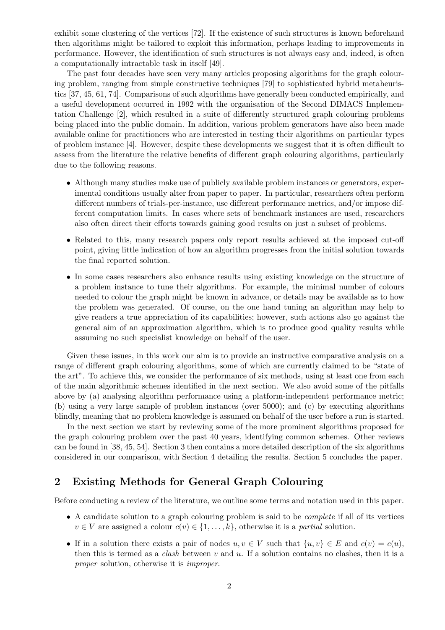exhibit some clustering of the vertices [72]. If the existence of such structures is known beforehand then algorithms might be tailored to exploit this information, perhaps leading to improvements in performance. However, the identification of such structures is not always easy and, indeed, is often a computationally intractable task in itself [49].

The past four decades have seen very many articles proposing algorithms for the graph colouring problem, ranging from simple constructive techniques [79] to sophisticated hybrid metaheuristics [37, 45, 61, 74]. Comparisons of such algorithms have generally been conducted empirically, and a useful development occurred in 1992 with the organisation of the Second DIMACS Implementation Challenge [2], which resulted in a suite of differently structured graph colouring problems being placed into the public domain. In addition, various problem generators have also been made available online for practitioners who are interested in testing their algorithms on particular types of problem instance [4]. However, despite these developments we suggest that it is often difficult to assess from the literature the relative benefits of different graph colouring algorithms, particularly due to the following reasons.

- Although many studies make use of publicly available problem instances or generators, experimental conditions usually alter from paper to paper. In particular, researchers often perform different numbers of trials-per-instance, use different performance metrics, and/or impose different computation limits. In cases where sets of benchmark instances are used, researchers also often direct their efforts towards gaining good results on just a subset of problems.
- Related to this, many research papers only report results achieved at the imposed cut-off point, giving little indication of how an algorithm progresses from the initial solution towards the final reported solution.
- In some cases researchers also enhance results using existing knowledge on the structure of a problem instance to tune their algorithms. For example, the minimal number of colours needed to colour the graph might be known in advance, or details may be available as to how the problem was generated. Of course, on the one hand tuning an algorithm may help to give readers a true appreciation of its capabilities; however, such actions also go against the general aim of an approximation algorithm, which is to produce good quality results while assuming no such specialist knowledge on behalf of the user.

Given these issues, in this work our aim is to provide an instructive comparative analysis on a range of different graph colouring algorithms, some of which are currently claimed to be "state of the art". To achieve this, we consider the performance of six methods, using at least one from each of the main algorithmic schemes identified in the next section. We also avoid some of the pitfalls above by (a) analysing algorithm performance using a platform-independent performance metric; (b) using a very large sample of problem instances (over 5000); and (c) by executing algorithms blindly, meaning that no problem knowledge is assumed on behalf of the user before a run is started.

In the next section we start by reviewing some of the more prominent algorithms proposed for the graph colouring problem over the past 40 years, identifying common schemes. Other reviews can be found in [38, 45, 54]. Section 3 then contains a more detailed description of the six algorithms considered in our comparison, with Section 4 detailing the results. Section 5 concludes the paper.

# **2 Existing Methods for General Graph Colouring**

Before conducting a review of the literature, we outline some terms and notation used in this paper.

- *•* A candidate solution to a graph colouring problem is said to be *complete* if all of its vertices  $v \in V$  are assigned a colour  $c(v) \in \{1, \ldots, k\}$ , otherwise it is a *partial* solution.
- If in a solution there exists a pair of nodes  $u, v \in V$  such that  $\{u, v\} \in E$  and  $c(v) = c(u)$ , then this is termed as a *clash* between *v* and *u*. If a solution contains no clashes, then it is a *proper* solution, otherwise it is *improper*.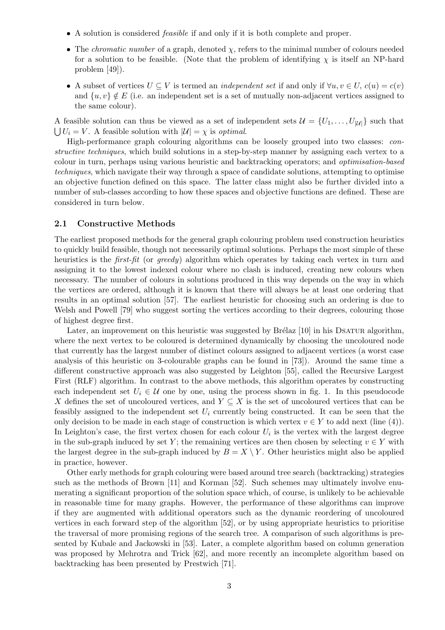- *•* A solution is considered *feasible* if and only if it is both complete and proper.
- *•* The *chromatic number* of a graph, denoted *χ*, refers to the minimal number of colours needed for a solution to be feasible. (Note that the problem of identifying  $\chi$  is itself an NP-hard problem [49]).
- A subset of vertices  $U \subseteq V$  is termed an *independent set* if and only if  $\forall u, v \in U$ ,  $c(u) = c(v)$ and  $\{u, v\} \notin E$  (i.e. an independent set is a set of mutually non-adjacent vertices assigned to the same colour).

A feasible solution can thus be viewed as a set of independent sets  $\mathcal{U} = \{U_1, \ldots, U_{|\mathcal{U}|}\}\$  such that  $\bigcup U_i = V$ . A feasible solution with  $|\mathcal{U}| = \chi$  is *optimal*.

High-performance graph colouring algorithms can be loosely grouped into two classes: *constructive techniques*, which build solutions in a step-by-step manner by assigning each vertex to a colour in turn, perhaps using various heuristic and backtracking operators; and *optimisation-based techniques*, which navigate their way through a space of candidate solutions, attempting to optimise an objective function defined on this space. The latter class might also be further divided into a number of sub-classes according to how these spaces and objective functions are defined. These are considered in turn below.

#### **2.1 Constructive Methods**

The earliest proposed methods for the general graph colouring problem used construction heuristics to quickly build feasible, though not necessarily optimal solutions. Perhaps the most simple of these heuristics is the *first-fit* (or *greedy*) algorithm which operates by taking each vertex in turn and assigning it to the lowest indexed colour where no clash is induced, creating new colours when necessary. The number of colours in solutions produced in this way depends on the way in which the vertices are ordered, although it is known that there will always be at least one ordering that results in an optimal solution [57]. The earliest heuristic for choosing such an ordering is due to Welsh and Powell [79] who suggest sorting the vertices according to their degrees, colouring those of highest degree first.

Later, an improvement on this heuristic was suggested by Brélaz  $[10]$  in his DSATUR algorithm, where the next vertex to be coloured is determined dynamically by choosing the uncoloured node that currently has the largest number of distinct colours assigned to adjacent vertices (a worst case analysis of this heuristic on 3-colourable graphs can be found in [73]). Around the same time a different constructive approach was also suggested by Leighton [55], called the Recursive Largest First (RLF) algorithm. In contrast to the above methods, this algorithm operates by constructing each independent set  $U_i \in \mathcal{U}$  one by one, using the process shown in fig. 1. In this pseudocode *X* defines the set of uncoloured vertices, and  $Y \subseteq X$  is the set of uncoloured vertices that can be feasibly assigned to the independent set  $U_i$  currently being constructed. It can be seen that the only decision to be made in each stage of construction is which vertex  $v \in Y$  to add next (line (4)). In Leighton's case, the first vertex chosen for each colour  $U_i$  is the vertex with the largest degree in the sub-graph induced by set *Y*; the remaining vertices are then chosen by selecting  $v \in Y$  with the largest degree in the sub-graph induced by  $B = X \setminus Y$ . Other heuristics might also be applied in practice, however.

Other early methods for graph colouring were based around tree search (backtracking) strategies such as the methods of Brown [11] and Korman [52]. Such schemes may ultimately involve enumerating a significant proportion of the solution space which, of course, is unlikely to be achievable in reasonable time for many graphs. However, the performance of these algorithms can improve if they are augmented with additional operators such as the dynamic reordering of uncoloured vertices in each forward step of the algorithm [52], or by using appropriate heuristics to prioritise the traversal of more promising regions of the search tree. A comparison of such algorithms is presented by Kubale and Jackowski in [53]. Later, a complete algorithm based on column generation was proposed by Mehrotra and Trick [62], and more recently an incomplete algorithm based on backtracking has been presented by Prestwich [71].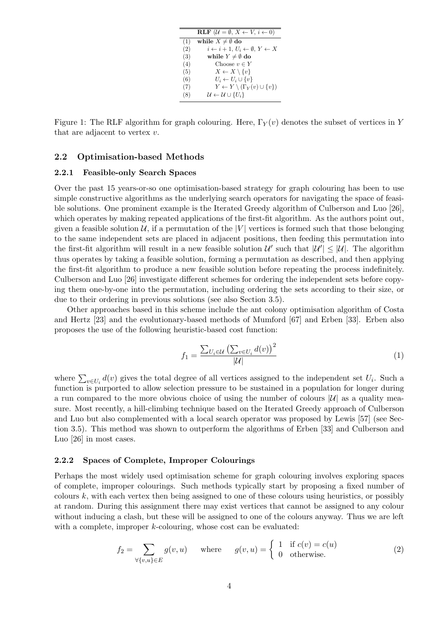|     | <b>RLF</b> $(\mathcal{U} = \emptyset, X \leftarrow V, i \leftarrow 0)$ |
|-----|------------------------------------------------------------------------|
| (1) | while $X \neq \emptyset$ do                                            |
| (2) | $i \leftarrow i+1, U_i \leftarrow \emptyset, Y \leftarrow X$           |
| (3) | while $Y \neq \emptyset$ do                                            |
| (4) | Choose $v \in Y$                                                       |
| (5) | $X \leftarrow X \setminus \{v\}$                                       |
| (6) | $U_i \leftarrow U_i \cup \{v\}$                                        |
| (7) | $Y \leftarrow Y \setminus (\Gamma_V(v) \cup \{v\})$                    |
| (8) | $\mathcal{U} \leftarrow \mathcal{U} \cup \{U_i\}$                      |

Figure 1: The RLF algorithm for graph colouring. Here, Γ*<sup>Y</sup>* (*v*) denotes the subset of vertices in *Y* that are adjacent to vertex *v*.

#### **2.2 Optimisation-based Methods**

#### **2.2.1 Feasible-only Search Spaces**

Over the past 15 years-or-so one optimisation-based strategy for graph colouring has been to use simple constructive algorithms as the underlying search operators for navigating the space of feasible solutions. One prominent example is the Iterated Greedy algorithm of Culberson and Luo [26], which operates by making repeated applications of the first-fit algorithm. As the authors point out, given a feasible solution  $U$ , if a permutation of the  $|V|$  vertices is formed such that those belonging to the same independent sets are placed in adjacent positions, then feeding this permutation into the first-fit algorithm will result in a new feasible solution  $\mathcal{U}'$  such that  $|\mathcal{U}'| \leq |\mathcal{U}|$ . The algorithm thus operates by taking a feasible solution, forming a permutation as described, and then applying the first-fit algorithm to produce a new feasible solution before repeating the process indefinitely. Culberson and Luo [26] investigate different schemes for ordering the independent sets before copying them one-by-one into the permutation, including ordering the sets according to their size, or due to their ordering in previous solutions (see also Section 3.5).

Other approaches based in this scheme include the ant colony optimisation algorithm of Costa and Hertz [23] and the evolutionary-based methods of Mumford [67] and Erben [33]. Erben also proposes the use of the following heuristic-based cost function:

$$
f_1 = \frac{\sum_{U_i \in \mathcal{U}} \left(\sum_{v \in U_i} d(v)\right)^2}{|\mathcal{U}|} \tag{1}
$$

where  $\sum_{v \in U_i} d(v)$  gives the total degree of all vertices assigned to the independent set  $U_i$ . Such a function is purported to allow selection pressure to be sustained in a population for longer during a run compared to the more obvious choice of using the number of colours *|U|* as a quality measure. Most recently, a hill-climbing technique based on the Iterated Greedy approach of Culberson and Luo but also complemented with a local search operator was proposed by Lewis [57] (see Section 3.5). This method was shown to outperform the algorithms of Erben [33] and Culberson and Luo [26] in most cases.

#### **2.2.2 Spaces of Complete, Improper Colourings**

Perhaps the most widely used optimisation scheme for graph colouring involves exploring spaces of complete, improper colourings. Such methods typically start by proposing a fixed number of colours *k*, with each vertex then being assigned to one of these colours using heuristics, or possibly at random. During this assignment there may exist vertices that cannot be assigned to any colour without inducing a clash, but these will be assigned to one of the colours anyway. Thus we are left with a complete, improper *k*-colouring, whose cost can be evaluated:

$$
f_2 = \sum_{\forall \{v, u\} \in E} g(v, u) \quad \text{where} \quad g(v, u) = \begin{cases} 1 & \text{if } c(v) = c(u) \\ 0 & \text{otherwise.} \end{cases} \tag{2}
$$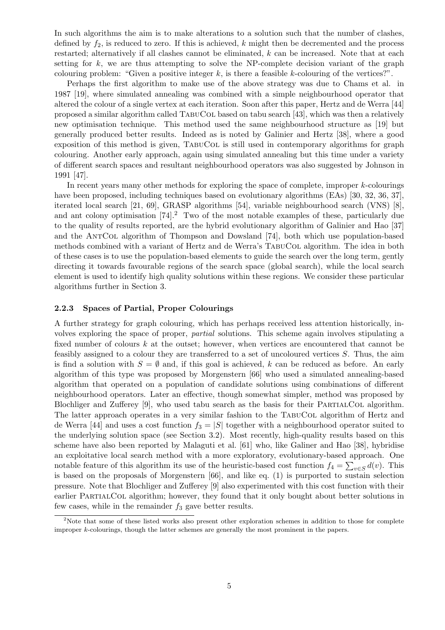In such algorithms the aim is to make alterations to a solution such that the number of clashes, defined by *f*2, is reduced to zero. If this is achieved, *k* might then be decremented and the process restarted; alternatively if all clashes cannot be eliminated, *k* can be increased. Note that at each setting for *k*, we are thus attempting to solve the NP-complete decision variant of the graph colouring problem: "Given a positive integer *k*, is there a feasible *k*-colouring of the vertices?".

Perhaps the first algorithm to make use of the above strategy was due to Chams et al. in 1987 [19], where simulated annealing was combined with a simple neighbourhood operator that altered the colour of a single vertex at each iteration. Soon after this paper, Hertz and de Werra [44] proposed a similar algorithm called TabuCol based on tabu search [43], which was then a relatively new optimisation technique. This method used the same neighbourhood structure as [19] but generally produced better results. Indeed as is noted by Galinier and Hertz [38], where a good exposition of this method is given, TabuCol is still used in contemporary algorithms for graph colouring. Another early approach, again using simulated annealing but this time under a variety of different search spaces and resultant neighbourhood operators was also suggested by Johnson in 1991 [47].

In recent years many other methods for exploring the space of complete, improper *k*-colourings have been proposed, including techniques based on evolutionary algorithms (EAs) [30, 32, 36, 37], iterated local search [21, 69], GRASP algorithms [54], variable neighbourhood search (VNS) [8], and ant colony optimisation  $[74]$ <sup>2</sup> Two of the most notable examples of these, particularly due to the quality of results reported, are the hybrid evolutionary algorithm of Galinier and Hao [37] and the AntCol algorithm of Thompson and Dowsland [74], both which use population-based methods combined with a variant of Hertz and de Werra's TABUCOL algorithm. The idea in both of these cases is to use the population-based elements to guide the search over the long term, gently directing it towards favourable regions of the search space (global search), while the local search element is used to identify high quality solutions within these regions. We consider these particular algorithms further in Section 3.

#### **2.2.3 Spaces of Partial, Proper Colourings**

A further strategy for graph colouring, which has perhaps received less attention historically, involves exploring the space of proper, *partial* solutions. This scheme again involves stipulating a fixed number of colours *k* at the outset; however, when vertices are encountered that cannot be feasibly assigned to a colour they are transferred to a set of uncoloured vertices *S*. Thus, the aim is find a solution with  $S = \emptyset$  and, if this goal is achieved, k can be reduced as before. An early algorithm of this type was proposed by Morgenstern [66] who used a simulated annealing-based algorithm that operated on a population of candidate solutions using combinations of different neighbourhood operators. Later an effective, though somewhat simpler, method was proposed by Blochliger and Zufferey [9], who used tabu search as the basis for their PARTIALCOL algorithm. The latter approach operates in a very similar fashion to the TABUCOL algorithm of Hertz and de Werra [44] and uses a cost function  $f_3 = |S|$  together with a neighbourhood operator suited to the underlying solution space (see Section 3.2). Most recently, high-quality results based on this scheme have also been reported by Malaguti et al. [61] who, like Galiner and Hao [38], hybridise an exploitative local search method with a more exploratory, evolutionary-based approach. One notable feature of this algorithm its use of the heuristic-based cost function  $f_4 = \sum_{v \in S} d(v)$ . This is based on the proposals of Morgenstern [66], and like eq. (1) is purported to sustain selection pressure. Note that Blochliger and Zufferey [9] also experimented with this cost function with their earlier PARTIALCOL algorithm; however, they found that it only bought about better solutions in few cases, while in the remainder *f*<sup>3</sup> gave better results.

<sup>&</sup>lt;sup>2</sup>Note that some of these listed works also present other exploration schemes in addition to those for complete improper *k*-colourings, though the latter schemes are generally the most prominent in the papers.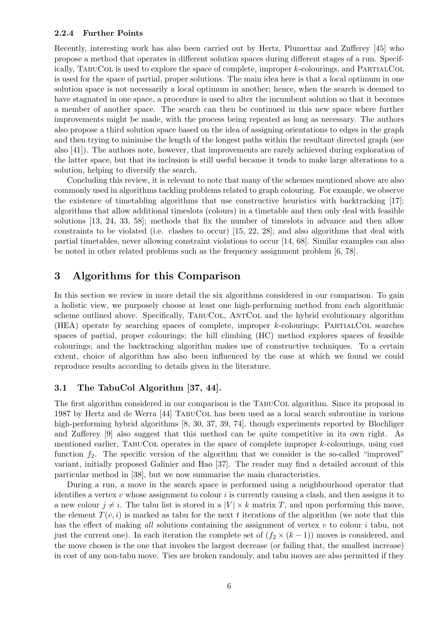#### **2.2.4 Further Points**

Recently, interesting work has also been carried out by Hertz, Plumettaz and Zufferey [45] who propose a method that operates in different solution spaces during different stages of a run. Specifically, TabuCol is used to explore the space of complete, improper *k*-colourings, and PartialCol is used for the space of partial, proper solutions. The main idea here is that a local optimum in one solution space is not necessarily a local optimum in another; hence, when the search is deemed to have stagnated in one space, a procedure is used to alter the incumbent solution so that it becomes a member of another space. The search can then be continued in this new space where further improvements might be made, with the process being repeated as long as necessary. The authors also propose a third solution space based on the idea of assigning orientations to edges in the graph and then trying to minimise the length of the longest paths within the resultant directed graph (see also [41]). The authors note, however, that improvements are rarely achieved during exploration of the latter space, but that its inclusion is still useful because it tends to make large alterations to a solution, helping to diversify the search.

Concluding this review, it is relevant to note that many of the schemes mentioned above are also commonly used in algorithms tackling problems related to graph colouring. For example, we observe the existence of timetabling algorithms that use constructive heuristics with backtracking [17]; algorithms that allow additional timeslots (colours) in a timetable and then only deal with feasible solutions [13, 24, 33, 58]; methods that fix the number of timeslots in advance and then allow constraints to be violated (i.e. clashes to occur) [15, 22, 28]; and also algorithms that deal with partial timetables, never allowing constraint violations to occur [14, 68]. Similar examples can also be noted in other related problems such as the frequency assignment problem [6, 78].

# **3 Algorithms for this Comparison**

In this section we review in more detail the six algorithms considered in our comparison. To gain a holistic view, we purposely choose at least one high-performing method from each algorithmic scheme outlined above. Specifically, TABUCOL, ANTCOL and the hybrid evolutionary algorithm (HEA) operate by searching spaces of complete, improper *k*-colourings; PartialCol searches spaces of partial, proper colourings; the hill climbing (HC) method explores spaces of feasible colourings; and the backtracking algorithm makes use of constructive techniques. To a certain extent, choice of algorithm has also been influenced by the ease at which we found we could reproduce results according to details given in the literature.

### **3.1 The TabuCol Algorithm [37, 44].**

The first algorithm considered in our comparison is the TABUCOL algorithm. Since its proposal in 1987 by Hertz and de Werra [44] TabuCol has been used as a local search subroutine in various high-performing hybrid algorithms [8, 30, 37, 39, 74], though experiments reported by Blochliger and Zufferey [9] also suggest that this method can be quite competitive in its own right. As mentioned earlier, TabuCol operates in the space of complete improper *k*-colourings, using cost function  $f_2$ . The specific version of the algorithm that we consider is the so-called "improved" variant, initially proposed Galinier and Hao [37]. The reader may find a detailed account of this particular method in [38], but we now summarise the main characteristics.

During a run, a move in the search space is performed using a neighbourhood operator that identifies a vertex *v* whose assignment to colour *i* is currently causing a clash, and then assigns it to a new colour  $j \neq i$ . The tabu list is stored in a  $|V| \times k$  matrix *T*, and upon performing this move, the element  $T(v, i)$  is marked as tabu for the next t iterations of the algorithm (we note that this has the effect of making *all* solutions containing the assignment of vertex *v* to colour *i* tabu, not just the current one). In each iteration the complete set of  $(f_2 \times (k-1))$  moves is considered, and the move chosen is the one that invokes the largest decrease (or failing that, the smallest increase) in cost of any non-tabu move. Ties are broken randomly, and tabu moves are also permitted if they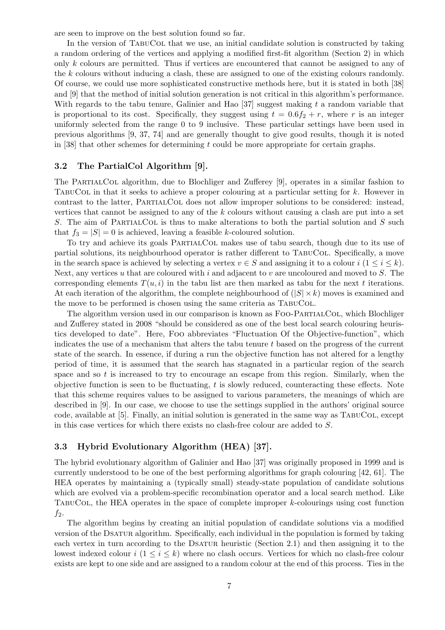are seen to improve on the best solution found so far.

In the version of TABUCOL that we use, an initial candidate solution is constructed by taking a random ordering of the vertices and applying a modified first-fit algorithm (Section 2) in which only *k* colours are permitted. Thus if vertices are encountered that cannot be assigned to any of the *k* colours without inducing a clash, these are assigned to one of the existing colours randomly. Of course, we could use more sophisticated constructive methods here, but it is stated in both [38] and [9] that the method of initial solution generation is not critical in this algorithm's performance. With regards to the tabu tenure, Galinier and Hao [37] suggest making *t* a random variable that is proportional to its cost. Specifically, they suggest using  $t = 0.6f_2 + r$ , where *r* is an integer uniformly selected from the range 0 to 9 inclusive. These particular settings have been used in previous algorithms [9, 37, 74] and are generally thought to give good results, though it is noted in [38] that other schemes for determining *t* could be more appropriate for certain graphs.

### **3.2 The PartialCol Algorithm [9].**

The PartialCol algorithm, due to Blochliger and Zufferey [9], operates in a similar fashion to TabuCol in that it seeks to achieve a proper colouring at a particular setting for *k*. However in contrast to the latter, PartialCol does not allow improper solutions to be considered: instead, vertices that cannot be assigned to any of the *k* colours without causing a clash are put into a set *S*. The aim of PartialCol is thus to make alterations to both the partial solution and *S* such that  $f_3 = |S| = 0$  is achieved, leaving a feasible *k*-coloured solution.

To try and achieve its goals PartialCol makes use of tabu search, though due to its use of partial solutions, its neighbourhood operator is rather different to TabuCol. Specifically, a move in the search space is achieved by selecting a vertex  $v \in S$  and assigning it to a colour  $i (1 \leq i \leq k)$ . Next, any vertices *u* that are coloured with *i* and adjacent to *v* are uncoloured and moved to *S*. The corresponding elements  $T(u, i)$  in the tabu list are then marked as tabu for the next t iterations. At each iteration of the algorithm, the complete neighbourhood of  $(|S| \times k)$  moves is examined and the move to be performed is chosen using the same criteria as TabuCol.

The algorithm version used in our comparison is known as FOO-PARTIALCOL, which Blochliger and Zufferey stated in 2008 "should be considered as one of the best local search colouring heuristics developed to date". Here, Foo abbreviates "Fluctuation Of the Objective-function", which indicates the use of a mechanism that alters the tabu tenure *t* based on the progress of the current state of the search. In essence, if during a run the objective function has not altered for a lengthy period of time, it is assumed that the search has stagnated in a particular region of the search space and so *t* is increased to try to encourage an escape from this region. Similarly, when the objective function is seen to be fluctuating, *t* is slowly reduced, counteracting these effects. Note that this scheme requires values to be assigned to various parameters, the meanings of which are described in [9]. In our case, we choose to use the settings supplied in the authors' original source code, available at [5]. Finally, an initial solution is generated in the same way as TABUCOL, except in this case vertices for which there exists no clash-free colour are added to *S*.

#### **3.3 Hybrid Evolutionary Algorithm (HEA) [37].**

The hybrid evolutionary algorithm of Galinier and Hao [37] was originally proposed in 1999 and is currently understood to be one of the best performing algorithms for graph colouring [42, 61]. The HEA operates by maintaining a (typically small) steady-state population of candidate solutions which are evolved via a problem-specific recombination operator and a local search method. Like TabuCol, the HEA operates in the space of complete improper *k*-colourings using cost function  $f_2$ .

The algorithm begins by creating an initial population of candidate solutions via a modified version of the Dsatur algorithm. Specifically, each individual in the population is formed by taking each vertex in turn according to the DSATUR heuristic (Section 2.1) and then assigning it to the lowest indexed colour  $i$  ( $1 \le i \le k$ ) where no clash occurs. Vertices for which no clash-free colour exists are kept to one side and are assigned to a random colour at the end of this process. Ties in the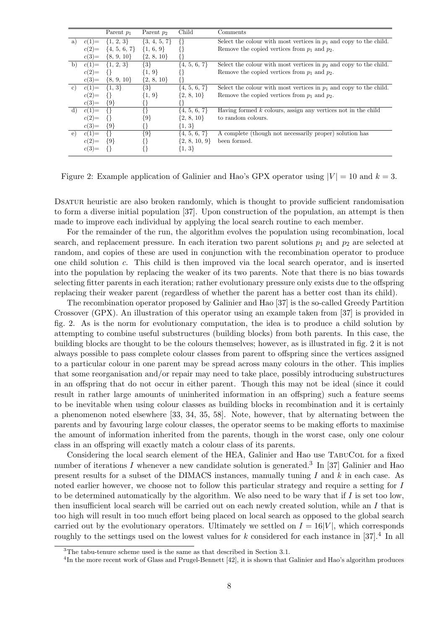|     |          | Parent $p_1$     | Parent $p_2$     | Child             | Comments                                                             |
|-----|----------|------------------|------------------|-------------------|----------------------------------------------------------------------|
| a l | c(1)     | $\{1, 2, 3\}$    | $\{3, 4, 5, 7\}$ | {}                | Select the colour with most vertices in $p_1$ and copy to the child. |
|     | $c(2) =$ | $\{4, 5, 6, 7\}$ | $\{1, 6, 9\}$    |                   | Remove the copied vertices from $p_1$ and $p_2$ .                    |
|     | $c(3) =$ | $\{8, 9, 10\}$   | $\{2, 8, 10\}$   |                   |                                                                      |
| b)  | $c(1) =$ | $\{1, 2, 3\}$    | ${3}$            | $\{4, 5, 6, 7\}$  | Select the colour with most vertices in $p_2$ and copy to the child. |
|     | $c(2) =$ | ∤∤               | $\{1, 9\}$       |                   | Remove the copied vertices from $p_1$ and $p_2$ .                    |
|     | $c(3) =$ | $\{8, 9, 10\}$   | $\{2, 8, 10\}$   |                   |                                                                      |
| c)  | $c(1) =$ | ${1, 3}$         | $\{3\}$          | $\{4, 5, 6, 7\}$  | Select the colour with most vertices in $p_1$ and copy to the child. |
|     | $c(2) =$ | ∤∤               | $\{1, 9\}$       | $\{2, 8, 10\}$    | Remove the copied vertices from $p_1$ and $p_2$ .                    |
|     | $c(3) =$ | ${9}$            |                  |                   |                                                                      |
| d)  | $c(1) =$ |                  |                  | $\{4, 5, 6, 7\}$  | Having formed $k$ colours, assign any vertices not in the child      |
|     | $c(2) =$ |                  | {9}              | $\{2, 8, 10\}$    | to random colours.                                                   |
|     | $c(3) =$ | $\{9\}$          |                  | $\{1, 3\}$        |                                                                      |
| e)  | Сl       |                  | {9}              | $\{4, 5, 6, 7\}$  | A complete (though not necessarily proper) solution has              |
|     |          | {9}              |                  | $\{2, 8, 10, 9\}$ | been formed.                                                         |
|     | c(3)     |                  |                  | $\{1, 3\}$        |                                                                      |

Figure 2: Example application of Galinier and Hao's GPX operator using  $|V| = 10$  and  $k = 3$ .

DSATUR heuristic are also broken randomly, which is thought to provide sufficient randomisation to form a diverse initial population [37]. Upon construction of the population, an attempt is then made to improve each individual by applying the local search routine to each member.

For the remainder of the run, the algorithm evolves the population using recombination, local search, and replacement pressure. In each iteration two parent solutions  $p_1$  and  $p_2$  are selected at random, and copies of these are used in conjunction with the recombination operator to produce one child solution *c*. This child is then improved via the local search operator, and is inserted into the population by replacing the weaker of its two parents. Note that there is no bias towards selecting fitter parents in each iteration; rather evolutionary pressure only exists due to the offspring replacing their weaker parent (regardless of whether the parent has a better cost than its child).

The recombination operator proposed by Galinier and Hao [37] is the so-called Greedy Partition Crossover (GPX). An illustration of this operator using an example taken from [37] is provided in fig. 2. As is the norm for evolutionary computation, the idea is to produce a child solution by attempting to combine useful substructures (building blocks) from both parents. In this case, the building blocks are thought to be the colours themselves; however, as is illustrated in fig. 2 it is not always possible to pass complete colour classes from parent to offspring since the vertices assigned to a particular colour in one parent may be spread across many colours in the other. This implies that some reorganisation and/or repair may need to take place, possibly introducing substructures in an offspring that do not occur in either parent. Though this may not be ideal (since it could result in rather large amounts of uninherited information in an offspring) such a feature seems to be inevitable when using colour classes as building blocks in recombination and it is certainly a phenomenon noted elsewhere [33, 34, 35, 58]. Note, however, that by alternating between the parents and by favouring large colour classes, the operator seems to be making efforts to maximise the amount of information inherited from the parents, though in the worst case, only one colour class in an offspring will exactly match a colour class of its parents.

Considering the local search element of the HEA, Galinier and Hao use TABUCOL for a fixed number of iterations *I* whenever a new candidate solution is generated.<sup>3</sup> In [37] Galinier and Hao present results for a subset of the DIMACS instances, manually tuning *I* and *k* in each case. As noted earlier however, we choose not to follow this particular strategy and require a setting for *I* to be determined automatically by the algorithm. We also need to be wary that if *I* is set too low, then insufficient local search will be carried out on each newly created solution, while an *I* that is too high will result in too much effort being placed on local search as opposed to the global search carried out by the evolutionary operators. Ultimately we settled on  $I = 16|V|$ , which corresponds roughly to the settings used on the lowest values for *k* considered for each instance in [37].<sup>4</sup> In all

<sup>3</sup>The tabu-tenure scheme used is the same as that described in Section 3.1.

<sup>&</sup>lt;sup>4</sup>In the more recent work of Glass and Prugel-Bennett [42], it is shown that Galinier and Hao's algorithm produces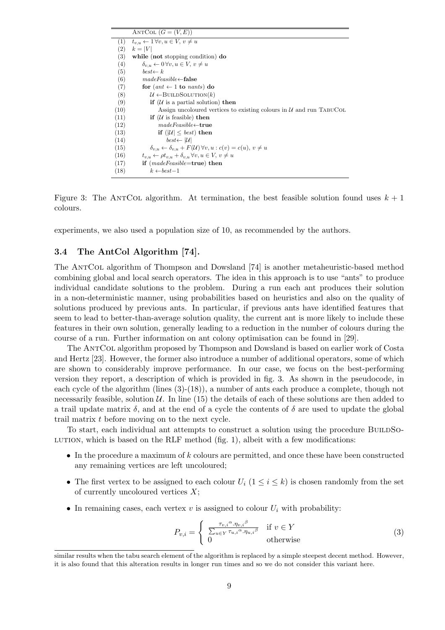|      | ANTCOL $(G = (V, E))$                                                                        |
|------|----------------------------------------------------------------------------------------------|
| (1)  | $t_{v,u} \leftarrow 1 \forall v, u \in V, v \neq u$                                          |
| (2)  | $k= V $                                                                                      |
| (3)  | while (not stopping condition) do                                                            |
| (4)  | $\delta_{v,u} \leftarrow 0 \forall v, u \in V, v \neq u$                                     |
| (5)  | $best \leftarrow k$                                                                          |
| (6)  | $madeFeasible \leftarrow false$                                                              |
| (7)  | for $(ant \leftarrow 1$ to nants) do                                                         |
| (8)  | $\mathcal{U} \leftarrow$ BUILDSOLUTION $(k)$                                                 |
| (9)  | if $(U$ is a partial solution) then                                                          |
| (10) | Assign uncoloured vertices to existing colours in $\mathcal{U}$ and run TABUCOL              |
| (11) | if $(U$ is feasible) then                                                                    |
| (12) | $madeFeasible \leftarrow \textbf{true}$                                                      |
| (13) | if $( \mathcal{U}  \leq best)$ then                                                          |
| (14) | $best \leftarrow  \mathcal{U} $                                                              |
| (15) | $\delta_{v,u} \leftarrow \delta_{v,u} + F(\mathcal{U}) \forall v, u : c(v) = c(u), v \neq u$ |
| (16) | $t_{v,u} \leftarrow \rho t_{v,u} + \delta_{v,u} \,\forall v, u \in V, v \neq u$              |
| (17) | if $(madeFeasible = true)$ then                                                              |
| (18) | $k \leftarrow best-1$                                                                        |
|      |                                                                                              |

Figure 3: The ANTCOL algorithm. At termination, the best feasible solution found uses  $k+1$ colours.

experiments, we also used a population size of 10, as recommended by the authors.

### **3.4 The AntCol Algorithm [74].**

The AntCol algorithm of Thompson and Dowsland [74] is another metaheuristic-based method combining global and local search operators. The idea in this approach is to use "ants" to produce individual candidate solutions to the problem. During a run each ant produces their solution in a non-deterministic manner, using probabilities based on heuristics and also on the quality of solutions produced by previous ants. In particular, if previous ants have identified features that seem to lead to better-than-average solution quality, the current ant is more likely to include these features in their own solution, generally leading to a reduction in the number of colours during the course of a run. Further information on ant colony optimisation can be found in [29].

The ANTCOL algorithm proposed by Thompson and Dowsland is based on earlier work of Costa and Hertz [23]. However, the former also introduce a number of additional operators, some of which are shown to considerably improve performance. In our case, we focus on the best-performing version they report, a description of which is provided in fig. 3. As shown in the pseudocode, in each cycle of the algorithm (lines (3)-(18)), a number of ants each produce a complete, though not necessarily feasible, solution  $U$ . In line (15) the details of each of these solutions are then added to a trail update matrix  $\delta$ , and at the end of a cycle the contents of  $\delta$  are used to update the global trail matrix *t* before moving on to the next cycle.

To start, each individual ant attempts to construct a solution using the procedure BUILDSO-LUTION, which is based on the RLF method  $(fig. 1)$ , albeit with a few modifications:

- *•* In the procedure a maximum of *k* colours are permitted, and once these have been constructed any remaining vertices are left uncoloured;
- The first vertex to be assigned to each colour  $U_i$  ( $1 \leq i \leq k$ ) is chosen randomly from the set of currently uncoloured vertices *X*;
- In remaining cases, each vertex  $v$  is assigned to colour  $U_i$  with probability:

$$
P_{v,i} = \begin{cases} \frac{\tau_{v,i} \alpha \cdot \eta_{v,i} \beta}{\sum_{u \in Y} \tau_{u,i} \alpha \cdot \eta_{u,i} \beta} & \text{if } v \in Y\\ 0 & \text{otherwise} \end{cases}
$$
 (3)

similar results when the tabu search element of the algorithm is replaced by a simple steepest decent method. However, it is also found that this alteration results in longer run times and so we do not consider this variant here.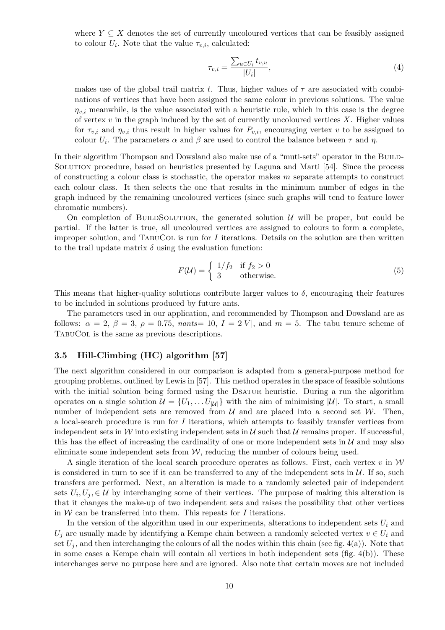where  $Y \subseteq X$  denotes the set of currently uncoloured vertices that can be feasibly assigned to colour  $U_i$ . Note that the value  $\tau_{v,i}$ , calculated:

$$
\tau_{v,i} = \frac{\sum_{u \in U_i} t_{v,u}}{|U_i|},\tag{4}
$$

makes use of the global trail matrix *t*. Thus, higher values of *τ* are associated with combinations of vertices that have been assigned the same colour in previous solutions. The value  $\eta_{v,i}$  meanwhile, is the value associated with a heuristic rule, which in this case is the degree of vertex *v* in the graph induced by the set of currently uncoloured vertices *X*. Higher values for  $\tau_{v,i}$  and  $\eta_{v,i}$  thus result in higher values for  $P_{v,i}$ , encouraging vertex *v* to be assigned to colour  $U_i$ . The parameters  $\alpha$  and  $\beta$  are used to control the balance between  $\tau$  and  $\eta$ .

In their algorithm Thompson and Dowsland also make use of a "muti-sets" operator in the BUILD-SOLUTION procedure, based on heuristics presented by Laguna and Marti [54]. Since the process of constructing a colour class is stochastic, the operator makes *m* separate attempts to construct each colour class. It then selects the one that results in the minimum number of edges in the graph induced by the remaining uncoloured vertices (since such graphs will tend to feature lower chromatic numbers).

On completion of BUILDSOLUTION, the generated solution  $U$  will be proper, but could be partial. If the latter is true, all uncoloured vertices are assigned to colours to form a complete, improper solution, and TabuCol is run for *I* iterations. Details on the solution are then written to the trail update matrix  $\delta$  using the evaluation function:

$$
F(\mathcal{U}) = \begin{cases} 1/f_2 & \text{if } f_2 > 0\\ 3 & \text{otherwise.} \end{cases}
$$
 (5)

This means that higher-quality solutions contribute larger values to  $\delta$ , encouraging their features to be included in solutions produced by future ants.

The parameters used in our application, and recommended by Thompson and Dowsland are as follows:  $\alpha = 2$ ,  $\beta = 3$ ,  $\rho = 0.75$ , *nants*= 10,  $I = 2|V|$ , and  $m = 5$ . The tabu tenure scheme of TabuCol is the same as previous descriptions.

### **3.5 Hill-Climbing (HC) algorithm [57]**

The next algorithm considered in our comparison is adapted from a general-purpose method for grouping problems, outlined by Lewis in [57]. This method operates in the space of feasible solutions with the initial solution being formed using the DSATUR heuristic. During a run the algorithm operates on a single solution  $\mathcal{U} = \{U_1, \ldots, U_{|\mathcal{U}|}\}\$  with the aim of minimising  $|\mathcal{U}|$ . To start, a small number of independent sets are removed from  $U$  and are placed into a second set  $W$ . Then, a local-search procedure is run for *I* iterations, which attempts to feasibly transfer vertices from independent sets in *W* into existing independent sets in *U* such that *U* remains proper. If successful, this has the effect of increasing the cardinality of one or more independent sets in  $\mathcal U$  and may also eliminate some independent sets from  $W$ , reducing the number of colours being used.

A single iteration of the local search procedure operates as follows. First, each vertex *v* in *W* is considered in turn to see if it can be transferred to any of the independent sets in  $\mathcal{U}$ . If so, such transfers are performed. Next, an alteration is made to a randomly selected pair of independent sets  $U_i, U_j, \in \mathcal{U}$  by interchanging some of their vertices. The purpose of making this alteration is that it changes the make-up of two independent sets and raises the possibility that other vertices in  $W$  can be transferred into them. This repeats for  $I$  iterations.

In the version of the algorithm used in our experiments, alterations to independent sets  $U_i$  and *U*<sup>j</sup> are usually made by identifying a Kempe chain between a randomly selected vertex  $v \in U_i$  and set  $U_j$ , and then interchanging the colours of all the nodes within this chain (see fig. 4(a)). Note that in some cases a Kempe chain will contain all vertices in both independent sets (fig. 4(b)). These interchanges serve no purpose here and are ignored. Also note that certain moves are not included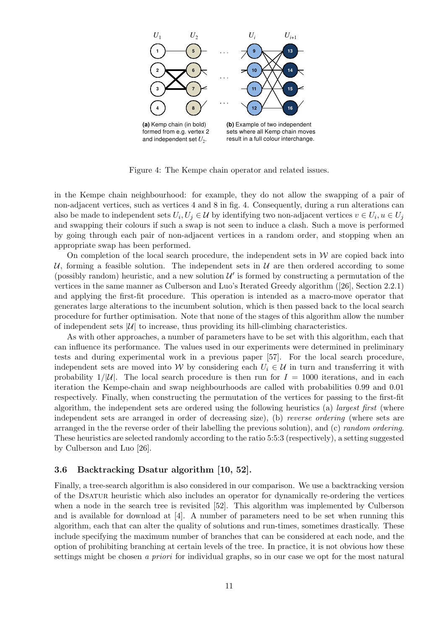

Figure 4: The Kempe chain operator and related issues.

in the Kempe chain neighbourhood: for example, they do not allow the swapping of a pair of non-adjacent vertices, such as vertices 4 and 8 in fig. 4. Consequently, during a run alterations can also be made to independent sets  $U_i, U_j \in \mathcal{U}$  by identifying two non-adjacent vertices  $v \in U_i, u \in U_j$ and swapping their colours if such a swap is not seen to induce a clash. Such a move is performed by going through each pair of non-adjacent vertices in a random order, and stopping when an appropriate swap has been performed.

On completion of the local search procedure, the independent sets in  $W$  are copied back into  $U$ , forming a feasible solution. The independent sets in  $U$  are then ordered according to some (possibly random) heuristic, and a new solution  $\mathcal{U}'$  is formed by constructing a permutation of the vertices in the same manner as Culberson and Luo's Iterated Greedy algorithm ([26], Section 2.2.1) and applying the first-fit procedure. This operation is intended as a macro-move operator that generates large alterations to the incumbent solution, which is then passed back to the local search procedure for further optimisation. Note that none of the stages of this algorithm allow the number of independent sets  $|\mathcal{U}|$  to increase, thus providing its hill-climbing characteristics.

As with other approaches, a number of parameters have to be set with this algorithm, each that can influence its performance. The values used in our experiments were determined in preliminary tests and during experimental work in a previous paper [57]. For the local search procedure, independent sets are moved into *W* by considering each  $U_i \in \mathcal{U}$  in turn and transferring it with probability  $1/|\mathcal{U}|$ . The local search procedure is then run for  $I = 1000$  iterations, and in each iteration the Kempe-chain and swap neighbourhoods are called with probabilities 0.99 and 0.01 respectively. Finally, when constructing the permutation of the vertices for passing to the first-fit algorithm, the independent sets are ordered using the following heuristics (a) *largest first* (where independent sets are arranged in order of decreasing size), (b) *reverse ordering* (where sets are arranged in the the reverse order of their labelling the previous solution), and (c) *random ordering*. These heuristics are selected randomly according to the ratio 5:5:3 (respectively), a setting suggested by Culberson and Luo [26].

### **3.6 Backtracking Dsatur algorithm [10, 52].**

Finally, a tree-search algorithm is also considered in our comparison. We use a backtracking version of the Dsatur heuristic which also includes an operator for dynamically re-ordering the vertices when a node in the search tree is revisited [52]. This algorithm was implemented by Culberson and is available for download at [4]. A number of parameters need to be set when running this algorithm, each that can alter the quality of solutions and run-times, sometimes drastically. These include specifying the maximum number of branches that can be considered at each node, and the option of prohibiting branching at certain levels of the tree. In practice, it is not obvious how these settings might be chosen *a priori* for individual graphs, so in our case we opt for the most natural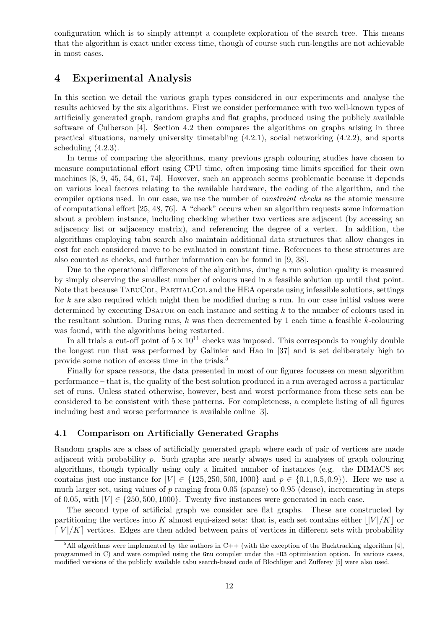configuration which is to simply attempt a complete exploration of the search tree. This means that the algorithm is exact under excess time, though of course such run-lengths are not achievable in most cases.

# **4 Experimental Analysis**

In this section we detail the various graph types considered in our experiments and analyse the results achieved by the six algorithms. First we consider performance with two well-known types of artificially generated graph, random graphs and flat graphs, produced using the publicly available software of Culberson [4]. Section 4.2 then compares the algorithms on graphs arising in three practical situations, namely university timetabling (4.2.1), social networking (4.2.2), and sports scheduling (4.2.3).

In terms of comparing the algorithms, many previous graph colouring studies have chosen to measure computational effort using CPU time, often imposing time limits specified for their own machines [8, 9, 45, 54, 61, 74]. However, such an approach seems problematic because it depends on various local factors relating to the available hardware, the coding of the algorithm, and the compiler options used. In our case, we use the number of *constraint checks* as the atomic measure of computational effort [25, 48, 76]. A "check" occurs when an algorithm requests some information about a problem instance, including checking whether two vertices are adjacent (by accessing an adjacency list or adjacency matrix), and referencing the degree of a vertex. In addition, the algorithms employing tabu search also maintain additional data structures that allow changes in cost for each considered move to be evaluated in constant time. References to these structures are also counted as checks, and further information can be found in [9, 38].

Due to the operational differences of the algorithms, during a run solution quality is measured by simply observing the smallest number of colours used in a feasible solution up until that point. Note that because TABUCOL, PARTIALCOL and the HEA operate using infeasible solutions, settings for *k* are also required which might then be modified during a run. In our case initial values were determined by executing DSATUR on each instance and setting k to the number of colours used in the resultant solution. During runs, *k* was then decremented by 1 each time a feasible *k*-colouring was found, with the algorithms being restarted.

In all trials a cut-off point of  $5 \times 10^{11}$  checks was imposed. This corresponds to roughly double the longest run that was performed by Galinier and Hao in [37] and is set deliberately high to provide some notion of excess time in the trials.<sup>5</sup>

Finally for space reasons, the data presented in most of our figures focusses on mean algorithm performance – that is, the quality of the best solution produced in a run averaged across a particular set of runs. Unless stated otherwise, however, best and worst performance from these sets can be considered to be consistent with these patterns. For completeness, a complete listing of all figures including best and worse performance is available online [3].

#### **4.1 Comparison on Artificially Generated Graphs**

Random graphs are a class of artificially generated graph where each of pair of vertices are made adjacent with probability *p*. Such graphs are nearly always used in analyses of graph colouring algorithms, though typically using only a limited number of instances (e.g. the DIMACS set contains just one instance for  $|V| \in \{125, 250, 500, 1000\}$  and  $p \in \{0.1, 0.5, 0.9\}$ . Here we use a much larger set, using values of *p* ranging from 0.05 (sparse) to 0.95 (dense), incrementing in steps of 0.05, with  $|V| \in \{250, 500, 1000\}$ . Twenty five instances were generated in each case.

The second type of artificial graph we consider are flat graphs. These are constructed by partitioning the vertices into  $K$  almost equi-sized sets: that is, each set contains either  $|V|/K|$  or  $\left\lfloor \frac{|V|}{K} \right\rfloor$  vertices. Edges are then added between pairs of vertices in different sets with probability

<sup>&</sup>lt;sup>5</sup>All algorithms were implemented by the authors in C++ (with the exception of the Backtracking algorithm [4], programmed in C) and were compiled using the Gnu compiler under the -O3 optimisation option. In various cases, modified versions of the publicly available tabu search-based code of Blochliger and Zufferey [5] were also used.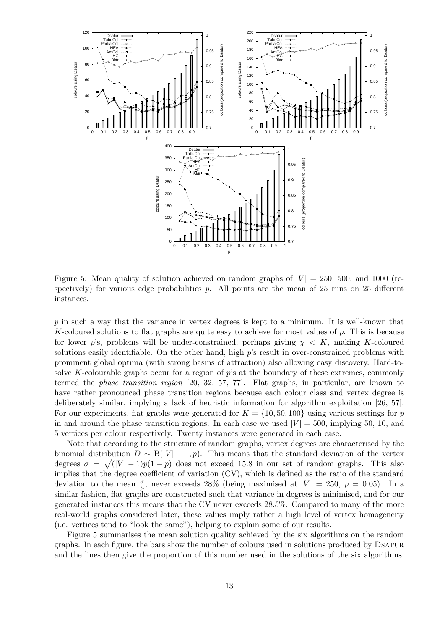

Figure 5: Mean quality of solution achieved on random graphs of  $|V| = 250, 500,$  and 1000 (respectively) for various edge probabilities *p*. All points are the mean of 25 runs on 25 different instances.

*p* in such a way that the variance in vertex degrees is kept to a minimum. It is well-known that *K*-coloured solutions to flat graphs are quite easy to achieve for most values of *p*. This is because for lower *p*'s, problems will be under-constrained, perhaps giving *χ < K*, making *K*-coloured solutions easily identifiable. On the other hand, high *p*'s result in over-constrained problems with prominent global optima (with strong basins of attraction) also allowing easy discovery. Hard-tosolve *K*-colourable graphs occur for a region of  $p$ 's at the boundary of these extremes, commonly termed the *phase transition region* [20, 32, 57, 77]. Flat graphs, in particular, are known to have rather pronounced phase transition regions because each colour class and vertex degree is deliberately similar, implying a lack of heuristic information for algorithm exploitation [26, 57]. For our experiments, flat graphs were generated for  $K = \{10, 50, 100\}$  using various settings for *p* in and around the phase transition regions. In each case we used  $|V| = 500$ , implying 50, 10, and 5 vertices per colour respectively. Twenty instances were generated in each case.

Note that according to the structure of random graphs, vertex degrees are characterised by the binomial distribution  $D \sim B(|V| - 1, p)$ . This means that the standard deviation of the vertex degrees  $\sigma = \sqrt{(|V| - 1)p(1-p)}$  does not exceed 15.8 in our set of random graphs. This also implies that the degree coefficient of variation (CV), which is defined as the ratio of the standard deviation to the mean  $\frac{\sigma}{\mu}$ , never exceeds 28% (being maximised at  $|V| = 250$ ,  $p = 0.05$ ). In a similar fashion, flat graphs are constructed such that variance in degrees is minimised, and for our generated instances this means that the CV never exceeds 28.5%. Compared to many of the more real-world graphs considered later, these values imply rather a high level of vertex homogeneity (i.e. vertices tend to "look the same"), helping to explain some of our results.

Figure 5 summarises the mean solution quality achieved by the six algorithms on the random graphs. In each figure, the bars show the number of colours used in solutions produced by Dsatur and the lines then give the proportion of this number used in the solutions of the six algorithms.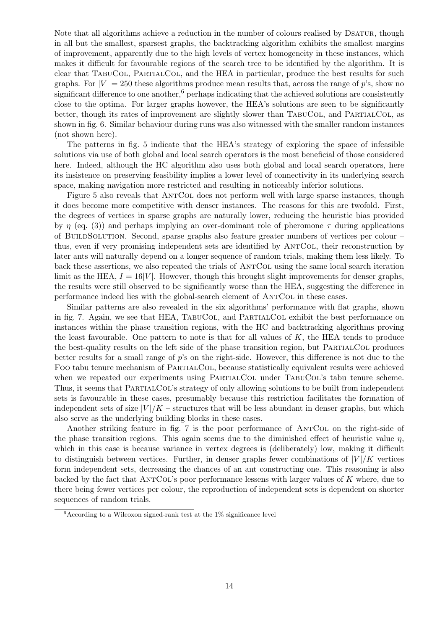Note that all algorithms achieve a reduction in the number of colours realised by Dsatur, though in all but the smallest, sparsest graphs, the backtracking algorithm exhibits the smallest margins of improvement, apparently due to the high levels of vertex homogeneity in these instances, which makes it difficult for favourable regions of the search tree to be identified by the algorithm. It is clear that TabuCol, PartialCol, and the HEA in particular, produce the best results for such graphs. For  $|V| = 250$  these algorithms produce mean results that, across the range of p's, show no significant difference to one another,<sup>6</sup> perhaps indicating that the achieved solutions are consistently close to the optima. For larger graphs however, the HEA's solutions are seen to be significantly better, though its rates of improvement are slightly slower than TabuCol, and PartialCol, as shown in fig. 6. Similar behaviour during runs was also witnessed with the smaller random instances (not shown here).

The patterns in fig. 5 indicate that the HEA's strategy of exploring the space of infeasible solutions via use of both global and local search operators is the most beneficial of those considered here. Indeed, although the HC algorithm also uses both global and local search operators, here its insistence on preserving feasibility implies a lower level of connectivity in its underlying search space, making navigation more restricted and resulting in noticeably inferior solutions.

Figure 5 also reveals that ANTCOL does not perform well with large sparse instances, though it does become more competitive with denser instances. The reasons for this are twofold. First, the degrees of vertices in sparse graphs are naturally lower, reducing the heuristic bias provided by  $\eta$  (eq. (3)) and perhaps implying an over-dominant role of pheromone  $\tau$  during applications of BuildSolution. Second, sparse graphs also feature greater numbers of vertices per colour – thus, even if very promising independent sets are identified by ANTCOL, their reconstruction by later ants will naturally depend on a longer sequence of random trials, making them less likely. To back these assertions, we also repeated the trials of AntCol using the same local search iteration limit as the HEA,  $I = 16|V|$ . However, though this brought slight improvements for denser graphs, the results were still observed to be significantly worse than the HEA, suggesting the difference in performance indeed lies with the global-search element of AntCol in these cases.

Similar patterns are also revealed in the six algorithms' performance with flat graphs, shown in fig. 7. Again, we see that HEA, TabuCol, and PartialCol exhibit the best performance on instances within the phase transition regions, with the HC and backtracking algorithms proving the least favourable. One pattern to note is that for all values of *K*, the HEA tends to produce the best-quality results on the left side of the phase transition region, but PARTIALCOL produces better results for a small range of *p*'s on the right-side. However, this difference is not due to the Foo tabu tenure mechanism of PartialCol, because statistically equivalent results were achieved when we repeated our experiments using PARTIALCOL under TABUCOL's tabu tenure scheme. Thus, it seems that PartialCol's strategy of only allowing solutions to be built from independent sets is favourable in these cases, presumably because this restriction facilitates the formation of independent sets of size  $|V|/K$  – structures that will be less abundant in denser graphs, but which also serve as the underlying building blocks in these cases.

Another striking feature in fig. 7 is the poor performance of ANTCOL on the right-side of the phase transition regions. This again seems due to the diminished effect of heuristic value  $\eta$ , which in this case is because variance in vertex degrees is (deliberately) low, making it difficult to distinguish between vertices. Further, in denser graphs fewer combinations of  $|V|/K$  vertices form independent sets, decreasing the chances of an ant constructing one. This reasoning is also backed by the fact that AntCol's poor performance lessens with larger values of *K* where, due to there being fewer vertices per colour, the reproduction of independent sets is dependent on shorter sequences of random trials.

 $6\overline{6}$ According to a Wilcoxon signed-rank test at the 1% significance level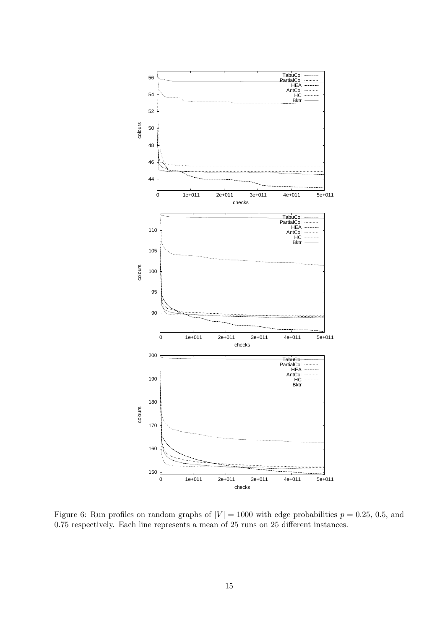

Figure 6: Run profiles on random graphs of  $|V| = 1000$  with edge probabilities  $p = 0.25, 0.5,$  and 0.75 respectively. Each line represents a mean of 25 runs on 25 different instances.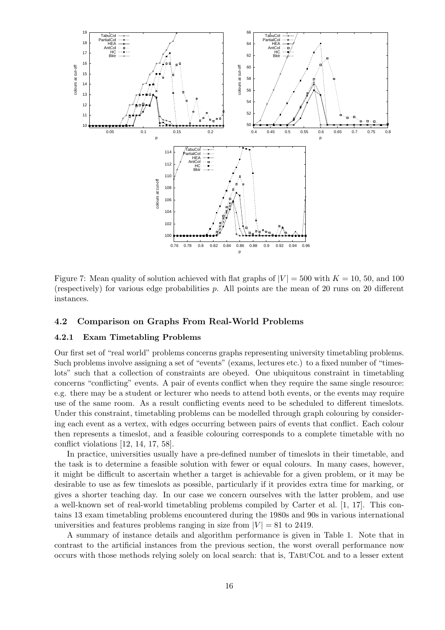

Figure 7: Mean quality of solution achieved with flat graphs of  $|V| = 500$  with  $K = 10, 50,$  and 100 (respectively) for various edge probabilities *p*. All points are the mean of 20 runs on 20 different instances.

#### **4.2 Comparison on Graphs From Real-World Problems**

#### **4.2.1 Exam Timetabling Problems**

Our first set of "real world" problems concerns graphs representing university timetabling problems. Such problems involve assigning a set of "events" (exams, lectures etc.) to a fixed number of "timeslots" such that a collection of constraints are obeyed. One ubiquitous constraint in timetabling concerns "conflicting" events. A pair of events conflict when they require the same single resource: e.g. there may be a student or lecturer who needs to attend both events, or the events may require use of the same room. As a result conflicting events need to be scheduled to different timeslots. Under this constraint, timetabling problems can be modelled through graph colouring by considering each event as a vertex, with edges occurring between pairs of events that conflict. Each colour then represents a timeslot, and a feasible colouring corresponds to a complete timetable with no conflict violations [12, 14, 17, 58].

In practice, universities usually have a pre-defined number of timeslots in their timetable, and the task is to determine a feasible solution with fewer or equal colours. In many cases, however, it might be difficult to ascertain whether a target is achievable for a given problem, or it may be desirable to use as few timeslots as possible, particularly if it provides extra time for marking, or gives a shorter teaching day. In our case we concern ourselves with the latter problem, and use a well-known set of real-world timetabling problems compiled by Carter et al. [1, 17]. This contains 13 exam timetabling problems encountered during the 1980s and 90s in various international universities and features problems ranging in size from  $|V| = 81$  to 2419.

A summary of instance details and algorithm performance is given in Table 1. Note that in contrast to the artificial instances from the previous section, the worst overall performance now occurs with those methods relying solely on local search: that is, TabuCol and to a lesser extent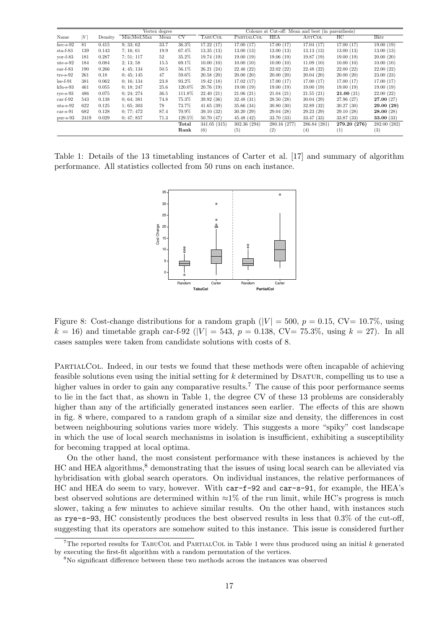|            |                  |         | Colours at Cut-off: Mean and best (in parenthesis)<br>Vertex degree |      |        |                |              |              |              |                  |                   |
|------------|------------------|---------|---------------------------------------------------------------------|------|--------|----------------|--------------|--------------|--------------|------------------|-------------------|
| Name       | $\left V\right $ | Density | Min; Med; Max                                                       | Mean | CV     | <b>TABUCOL</b> | PARTIALCOL   | <b>HEA</b>   | ANTCOL       | HС               | Bktr              |
| $hec-s-92$ | 81               | 0.415   | 9: 33: 62                                                           | 33.7 | 36.3%  | 17.22(17)      | 17.00(17)    | 17.00(17)    | 17.04(17)    | 17.00(17)        | 19.00(19)         |
| $sta-f-83$ | 139              | 0.143   | 7:16:61                                                             | 19.9 | 67.4%  | 13.35(13)      | 13.00(13)    | 13.00(13)    | 13.13(13)    | 13.00(13)        | 13.00(13)         |
| $vor-f-83$ | 181              | 0.287   | 7:51:117                                                            | 52   | 35.2%  | 19.74(19)      | 19.00(19)    | 19.06(19)    | 19.87(19)    | 19.00(19)        | 20.00(20)         |
| $ute-s-92$ | 184              | 0.084   | 2: 13: 58                                                           | 15.5 | 69.1%  | 10.00(10)      | 10.00(10)    | 10.00(10)    | 11.09(10)    | 10.00(10)        | 10.00(10)         |
| $ear-f-83$ | 190              | 0.266   | 4:45:134                                                            | 50.5 | 56.1%  | 26.21(24)      | 22.46(22)    | 22.02(22)    | 22.48(22)    | 22.00(22)        | 22.00(22)         |
| $tre-s-92$ | 261              | 0.18    | 0:45:145                                                            | 47   | 59.6%  | 20.58(20)      | 20.00(20)    | 20.00(20)    | 20.04(20)    | 20.00(20)        | 23.00(23)         |
| $lse-f-91$ | 381              | 0.062   | 0: 16: 134                                                          | 23.8 | 93.2%  | 19.42(18)      | 17.02(17)    | 17.00(17)    | 17.00(17)    | 17.00(17)        | 17.00(17)         |
| $kfu-s-93$ | 461              | 0.055   | 0: 18: 247                                                          | 25.6 | 120.0% | 20.76(19)      | 19.00(19)    | 19.00(19)    | 19.00(19)    | 19.00(19)        | 19.00(19)         |
| $rve-s-93$ | 486              | 0.075   | 0: 24: 274                                                          | 36.5 | 111.8% | 22.40(21)      | 21.06(21)    | 21.04(21)    | 21.55(21)    | 21.00(21)        | 22.00(22)         |
| $car-f-92$ | 543              | 0.138   | 0:64:381                                                            | 74.8 | 75.3%  | 39.92(36)      | 32.48(31)    | 28.50(28)    | 30.04(29)    | 27.96 (27)       | 27.00(27)         |
| $uta-s-92$ | 622              | 0.125   | 1:65:303                                                            | 78   | 73.7%  | 41.65(39)      | 35.66(34)    | 30.80(30)    | 32.89(32)    | 30.27(30)        | 29.00(29)         |
| $car-s-91$ | 682              | 0.128   | 0: 77: 472                                                          | 87.4 | 70.9%  | 39.10(32)      | 30.20(29)    | 29.04(28)    | 29.23(29)    | 29.10(28)        | 28.00(28)         |
| $pur-s-93$ | 2419             | 0.029   | 0:47:857                                                            | 71.3 | 129.5% | 50.70(47)      | 45.48(42)    | 33.70 (33)   | 33.47 (33)   | 33.87 (33)       | 33.00(33)         |
|            |                  |         |                                                                     |      | Total  | 341.05 (315)   | 302.36 (294) | 280.16 (277) | 286.84 (281) | 279.20 (276)     | 282.00 (282)      |
|            |                  |         |                                                                     |      | Rank   | (6)            | (5)          | (2)          | (4)          | $\left(1\right)$ | $\left( 3\right)$ |

Table 1: Details of the 13 timetabling instances of Carter et al. [17] and summary of algorithm performance. All statistics collected from 50 runs on each instance.



Figure 8: Cost-change distributions for a random graph  $(|V| = 500, p = 0.15, CV = 10.7\%$ , using  $k = 16$ ) and timetable graph car-f-92 ( $|V| = 543$ ,  $p = 0.138$ , CV= 75.3%, using  $k = 27$ ). In all cases samples were taken from candidate solutions with costs of 8.

PARTIALCOL. Indeed, in our tests we found that these methods were often incapable of achieving feasible solutions even using the initial setting for *k* determined by Dsatur, compelling us to use a higher values in order to gain any comparative results.<sup>7</sup> The cause of this poor performance seems to lie in the fact that, as shown in Table 1, the degree CV of these 13 problems are considerably higher than any of the artificially generated instances seen earlier. The effects of this are shown in fig. 8 where, compared to a random graph of a similar size and density, the differences in cost between neighbouring solutions varies more widely. This suggests a more "spiky" cost landscape in which the use of local search mechanisms in isolation is insufficient, exhibiting a susceptibility for becoming trapped at local optima.

On the other hand, the most consistent performance with these instances is achieved by the HC and HEA algorithms,<sup>8</sup> demonstrating that the issues of using local search can be alleviated via hybridisation with global search operators. On individual instances, the relative performances of HC and HEA do seem to vary, however. With car-f-92 and car-s-91, for example, the HEA's best observed solutions are determined within *≈*1% of the run limit, while HC's progress is much slower, taking a few minutes to achieve similar results. On the other hand, with instances such as rye-s-93, HC consistently produces the best observed results in less that 0*.*3% of the cut-off, suggesting that its operators are somehow suited to this instance. This issue is considered further

 $^7$ The reported results for TABUCOL and PARTIALCOL in Table 1 were thus produced using an initial  $k$  generated by executing the first-fit algorithm with a random permutation of the vertices.

<sup>8</sup>No significant difference between these two methods across the instances was observed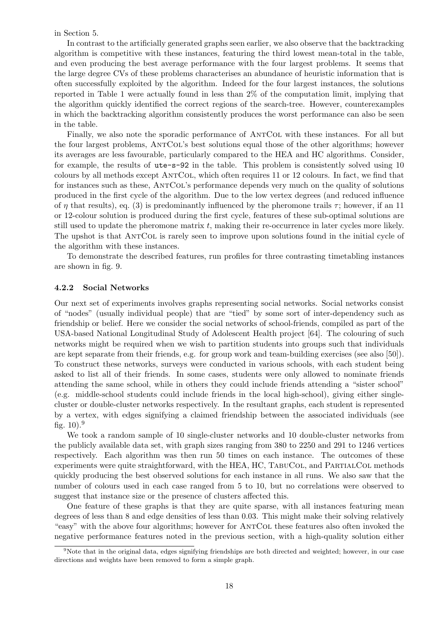in Section 5.

In contrast to the artificially generated graphs seen earlier, we also observe that the backtracking algorithm is competitive with these instances, featuring the third lowest mean-total in the table, and even producing the best average performance with the four largest problems. It seems that the large degree CVs of these problems characterises an abundance of heuristic information that is often successfully exploited by the algorithm. Indeed for the four largest instances, the solutions reported in Table 1 were actually found in less than 2% of the computation limit, implying that the algorithm quickly identified the correct regions of the search-tree. However, counterexamples in which the backtracking algorithm consistently produces the worst performance can also be seen in the table.

Finally, we also note the sporadic performance of ANTCOL with these instances. For all but the four largest problems, AntCol's best solutions equal those of the other algorithms; however its averages are less favourable, particularly compared to the HEA and HC algorithms. Consider, for example, the results of ute-s-92 in the table. This problem is consistently solved using 10 colours by all methods except AntCol, which often requires 11 or 12 colours. In fact, we find that for instances such as these,  $ANTCOL$ 's performance depends very much on the quality of solutions produced in the first cycle of the algorithm. Due to the low vertex degrees (and reduced influence of *η* that results), eq. (3) is predominantly influenced by the pheromone trails  $\tau$ ; however, if an 11 or 12-colour solution is produced during the first cycle, features of these sub-optimal solutions are still used to update the pheromone matrix *t*, making their re-occurrence in later cycles more likely. The upshot is that ANTCOL is rarely seen to improve upon solutions found in the initial cycle of the algorithm with these instances.

To demonstrate the described features, run profiles for three contrasting timetabling instances are shown in fig. 9.

#### **4.2.2 Social Networks**

Our next set of experiments involves graphs representing social networks. Social networks consist of "nodes" (usually individual people) that are "tied" by some sort of inter-dependency such as friendship or belief. Here we consider the social networks of school-friends, compiled as part of the USA-based National Longitudinal Study of Adolescent Health project [64]. The colouring of such networks might be required when we wish to partition students into groups such that individuals are kept separate from their friends, e.g. for group work and team-building exercises (see also [50]). To construct these networks, surveys were conducted in various schools, with each student being asked to list all of their friends. In some cases, students were only allowed to nominate friends attending the same school, while in others they could include friends attending a "sister school" (e.g. middle-school students could include friends in the local high-school), giving either singlecluster or double-cluster networks respectively. In the resultant graphs, each student is represented by a vertex, with edges signifying a claimed friendship between the associated individuals (see fig.  $10^{9}$ .

We took a random sample of 10 single-cluster networks and 10 double-cluster networks from the publicly available data set, with graph sizes ranging from 380 to 2250 and 291 to 1246 vertices respectively. Each algorithm was then run 50 times on each instance. The outcomes of these experiments were quite straightforward, with the HEA, HC, TabuCol, and PartialCol methods quickly producing the best observed solutions for each instance in all runs. We also saw that the number of colours used in each case ranged from 5 to 10, but no correlations were observed to suggest that instance size or the presence of clusters affected this.

One feature of these graphs is that they are quite sparse, with all instances featuring mean degrees of less than 8 and edge densities of less than 0.03. This might make their solving relatively "easy" with the above four algorithms; however for AntCol these features also often invoked the negative performance features noted in the previous section, with a high-quality solution either

<sup>&</sup>lt;sup>9</sup>Note that in the original data, edges signifying friendships are both directed and weighted; however, in our case directions and weights have been removed to form a simple graph.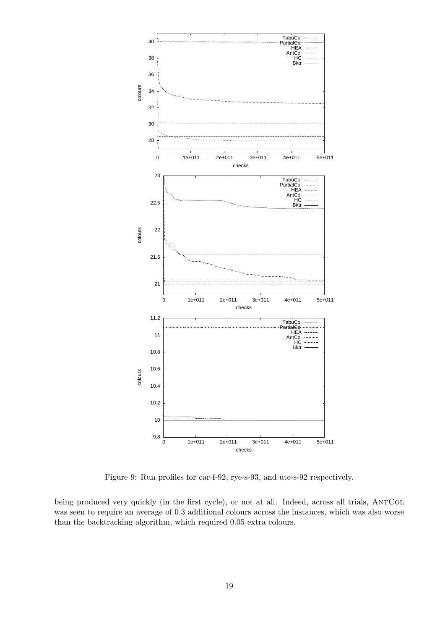

Figure 9: Run profiles for car-f-92, rye-s-93, and ute-s-92 respectively.

being produced very quickly (in the first cycle), or not at all. Indeed, across all trials, ANTCOL was seen to require an average of 0.3 additional colours across the instances, which was also worse than the backtracking algorithm, which required 0.05 extra colours.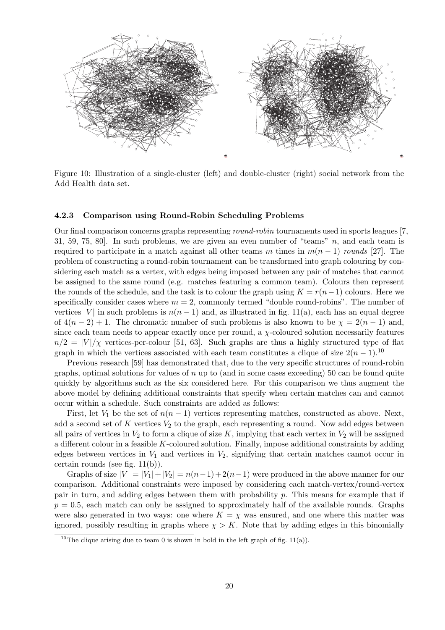

Figure 10: Illustration of a single-cluster (left) and double-cluster (right) social network from the Add Health data set.

#### **4.2.3 Comparison using Round-Robin Scheduling Problems**

Our final comparison concerns graphs representing *round-robin* tournaments used in sports leagues [7, 31, 59, 75, 80]. In such problems, we are given an even number of "teams" *n*, and each team is required to participate in a match against all other teams *m* times in  $m(n-1)$  *rounds* [27]. The problem of constructing a round-robin tournament can be transformed into graph colouring by considering each match as a vertex, with edges being imposed between any pair of matches that cannot be assigned to the same round (e.g. matches featuring a common team). Colours then represent the rounds of the schedule, and the task is to colour the graph using  $K = r(n-1)$  colours. Here we specifically consider cases where  $m = 2$ , commonly termed "double round-robins". The number of vertices |*V*| in such problems is  $n(n-1)$  and, as illustrated in fig. 11(a), each has an equal degree of  $4(n-2) + 1$ . The chromatic number of such problems is also known to be  $\chi = 2(n-1)$  and, since each team needs to appear exactly once per round, a *χ*-coloured solution necessarily features  $n/2 = |V|/\chi$  vertices-per-colour [51, 63]. Such graphs are thus a highly structured type of flat graph in which the vertices associated with each team constitutes a clique of size  $2(n-1)$ .<sup>10</sup>

Previous research [59] has demonstrated that, due to the very specific structures of round-robin graphs, optimal solutions for values of *n* up to (and in some cases exceeding) 50 can be found quite quickly by algorithms such as the six considered here. For this comparison we thus augment the above model by defining additional constraints that specify when certain matches can and cannot occur within a schedule. Such constraints are added as follows:

First, let  $V_1$  be the set of  $n(n-1)$  vertices representing matches, constructed as above. Next, add a second set of  $K$  vertices  $V_2$  to the graph, each representing a round. Now add edges between all pairs of vertices in  $V_2$  to form a clique of size  $K$ , implying that each vertex in  $V_2$  will be assigned a different colour in a feasible *K*-coloured solution. Finally, impose additional constraints by adding edges between vertices in  $V_1$  and vertices in  $V_2$ , signifying that certain matches cannot occur in certain rounds (see fig. 11(b)).

Graphs of size  $|V| = |V_1| + |V_2| = n(n-1) + 2(n-1)$  were produced in the above manner for our comparison. Additional constraints were imposed by considering each match-vertex/round-vertex pair in turn, and adding edges between them with probability *p*. This means for example that if  $p = 0.5$ , each match can only be assigned to approximately half of the available rounds. Graphs were also generated in two ways: one where  $K = \chi$  was ensured, and one where this matter was ignored, possibly resulting in graphs where  $\chi > K$ . Note that by adding edges in this binomially

<sup>&</sup>lt;sup>10</sup>The clique arising due to team 0 is shown in bold in the left graph of fig. 11(a)).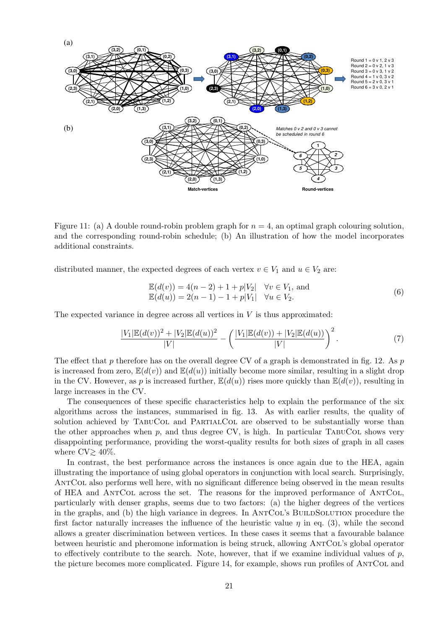

Figure 11: (a) A double round-robin problem graph for  $n = 4$ , an optimal graph colouring solution, and the corresponding round-robin schedule; (b) An illustration of how the model incorporates additional constraints.

distributed manner, the expected degrees of each vertex  $v \in V_1$  and  $u \in V_2$  are:

$$
\mathbb{E}(d(v)) = 4(n-2) + 1 + p|V_2| \quad \forall v \in V_1, \text{ and} \n\mathbb{E}(d(u)) = 2(n-1) - 1 + p|V_1| \quad \forall u \in V_2.
$$
\n(6)

The expected variance in degree across all vertices in *V* is thus approximated:

$$
\frac{|V_1|\mathbb{E}(d(v))^2 + |V_2|\mathbb{E}(d(u))^2}{|V|} - \left(\frac{|V_1|\mathbb{E}(d(v)) + |V_2|\mathbb{E}(d(u))}{|V|}\right)^2.
$$
\n(7)

The effect that *p* therefore has on the overall degree CV of a graph is demonstrated in fig. 12. As *p* is increased from zero,  $\mathbb{E}(d(v))$  and  $\mathbb{E}(d(u))$  initially become more similar, resulting in a slight drop in the CV. However, as *p* is increased further,  $\mathbb{E}(d(u))$  rises more quickly than  $\mathbb{E}(d(v))$ , resulting in large increases in the CV.

The consequences of these specific characteristics help to explain the performance of the six algorithms across the instances, summarised in fig. 13. As with earlier results, the quality of solution achieved by TABUCOL and PARTIALCOL are observed to be substantially worse than the other approaches when  $p$ , and thus degree CV, is high. In particular TABUCOL shows very disappointing performance, providing the worst-quality results for both sizes of graph in all cases where  $CV \geq 40\%$ .

In contrast, the best performance across the instances is once again due to the HEA, again illustrating the importance of using global operators in conjunction with local search. Surprisingly, AntCol also performs well here, with no significant difference being observed in the mean results of HEA and AntCol across the set. The reasons for the improved performance of AntCol, particularly with denser graphs, seems due to two factors: (a) the higher degrees of the vertices in the graphs, and (b) the high variance in degrees. In ANTCOL's BUILDSOLUTION procedure the first factor naturally increases the influence of the heuristic value *η* in eq. (3), while the second allows a greater discrimination between vertices. In these cases it seems that a favourable balance between heuristic and pheromone information is being struck, allowing ANTCOL's global operator to effectively contribute to the search. Note, however, that if we examine individual values of  $p$ , the picture becomes more complicated. Figure 14, for example, shows run profiles of AntCol and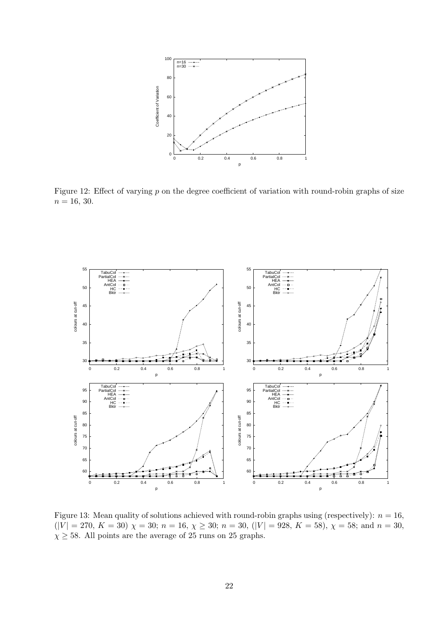

Figure 12: Effect of varying p on the degree coefficient of variation with round-robin graphs of size  $n = 16, 30.$ 



Figure 13: Mean quality of solutions achieved with round-robin graphs using (respectively):  $n = 16$ ,  $(|V| = 270, K = 30, \gamma = 30; n = 16, \gamma \ge 30; n = 30, (|V| = 928, K = 58), \gamma = 58; \text{ and } n = 30,$  $\chi \geq 58$ . All points are the average of 25 runs on 25 graphs.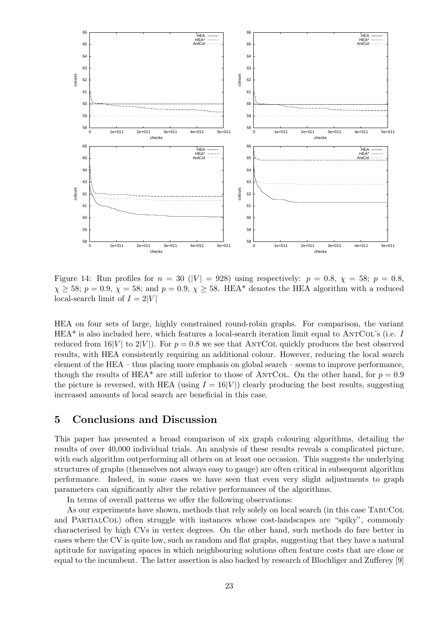

Figure 14: Run profiles for  $n = 30$  ( $|V| = 928$ ) using respectively:  $p = 0.8$ ,  $\chi = 58$ ;  $p = 0.8$ .  $\chi \geq 58$ ; *p* = 0.9,  $\chi$  = 58; and *p* = 0.9,  $\chi \geq 58$ . HEA\* denotes the HEA algorithm with a reduced local-search limit of  $I = 2|V|$ 

HEA on four sets of large, highly constrained round-robin graphs. For comparison, the variant HEA\* is also included here, which features a local-search iteration limit equal to AntCol's (i.e. *I* reduced from  $16|V|$  to  $2|V|$ ). For  $p = 0.8$  we see that ANTCOL quickly produces the best observed results, with HEA consistently requiring an additional colour. However, reducing the local search element of the HEA – thus placing more emphasis on global search – seems to improve performance, though the results of HEA<sup>\*</sup> are still inferior to those of ANTCOL. On the other hand, for  $p = 0.9$ the picture is reversed, with HEA (using  $I = 16|V|$ ) clearly producing the best results, suggesting increased amounts of local search are beneficial in this case.

### **5 Conclusions and Discussion**

This paper has presented a broad comparison of six graph colouring algorithms, detailing the results of over 40,000 individual trials. An analysis of these results reveals a complicated picture, with each algorithm outperforming all others on at least one occasion. This suggests the underlying structures of graphs (themselves not always easy to gauge) are often critical in subsequent algorithm performance. Indeed, in some cases we have seen that even very slight adjustments to graph parameters can significantly alter the relative performances of the algorithms.

In terms of overall patterns we offer the following observations:

As our experiments have shown, methods that rely solely on local search (in this case TABUCOL and PartialCol) often struggle with instances whose cost-landscapes are "spiky", commonly characterised by high CVs in vertex degrees. On the other hand, such methods do fare better in cases where the CV is quite low, such as random and flat graphs, suggesting that they have a natural aptitude for navigating spaces in which neighbouring solutions often feature costs that are close or equal to the incumbent. The latter assertion is also backed by research of Blochliger and Zufferey [9]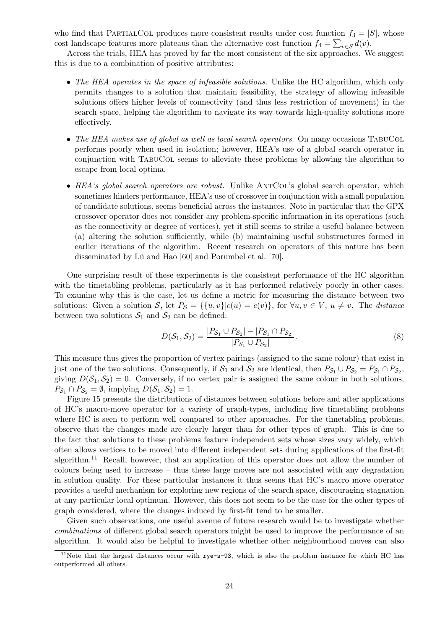who find that PARTIALCOL produces more consistent results under cost function  $f_3 = |S|$ , whose cost landscape features more plateaus than the alternative cost function  $f_4 = \sum_{v \in S} d(v)$ .

Across the trials, HEA has proved by far the most consistent of the six approaches. We suggest this is due to a combination of positive attributes:

- The HEA operates in the space of infeasible solutions. Unlike the HC algorithm, which only permits changes to a solution that maintain feasibility, the strategy of allowing infeasible solutions offers higher levels of connectivity (and thus less restriction of movement) in the search space, helping the algorithm to navigate its way towards high-quality solutions more effectively.
- The HEA makes use of global as well as local search operators. On many occasions TABUCOL performs poorly when used in isolation; however, HEA's use of a global search operator in conjunction with TabuCol seems to alleviate these problems by allowing the algorithm to escape from local optima.
- *HEA's global search operators are robust.* Unlike ANTCOL's global search operator, which sometimes hinders performance, HEA's use of crossover in conjunction with a small population of candidate solutions, seems beneficial across the instances. Note in particular that the GPX crossover operator does not consider any problem-specific information in its operations (such as the connectivity or degree of vertices), yet it still seems to strike a useful balance between (a) altering the solution sufficiently, while (b) maintaining useful substructures formed in earlier iterations of the algorithm. Recent research on operators of this nature has been disseminated by Lü and Hao [60] and Porumbel et al. [70].

One surprising result of these experiments is the consistent performance of the HC algorithm with the timetabling problems, particularly as it has performed relatively poorly in other cases. To examine why this is the case, let us define a metric for measuring the distance between two solutions: Given a solution S, let  $P_{\mathcal{S}} = \{\{u, v\} | c(u) = c(v)\}\$ , for  $\forall u, v \in V, u \neq v$ . The distance between two solutions  $S_1$  and  $S_2$  can be defined:

$$
D(S_1, S_2) = \frac{|P_{S_1} \cup P_{S_2}| - |P_{S_1} \cap P_{S_2}|}{|P_{S_1} \cup P_{S_2}|}.
$$
\n(8)

This measure thus gives the proportion of vertex pairings (assigned to the same colour) that exist in just one of the two solutions. Consequently, if  $S_1$  and  $S_2$  are identical, then  $P_{S_1} \cup P_{S_2} = P_{S_1} \cap P_{S_2}$ , giving  $D(\mathcal{S}_1, \mathcal{S}_2) = 0$ . Conversely, if no vertex pair is assigned the same colour in both solutions,  $P_{\mathcal{S}_1} \cap P_{\mathcal{S}_2} = \emptyset$ , implying  $D(\mathcal{S}_1, \mathcal{S}_2) = 1$ .

Figure 15 presents the distributions of distances between solutions before and after applications of HC's macro-move operator for a variety of graph-types, including five timetabling problems where HC is seen to perform well compared to other approaches. For the timetabling problems, observe that the changes made are clearly larger than for other types of graph. This is due to the fact that solutions to these problems feature independent sets whose sizes vary widely, which often allows vertices to be moved into different independent sets during applications of the first-fit algorithm.<sup>11</sup> Recall, however, that an application of this operator does not allow the number of colours being used to increase – thus these large moves are not associated with any degradation in solution quality. For these particular instances it thus seems that HC's macro move operator provides a useful mechanism for exploring new regions of the search space, discouraging stagnation at any particular local optimum. However, this does not seem to be the case for the other types of graph considered, where the changes induced by first-fit tend to be smaller.

Given such observations, one useful avenue of future research would be to investigate whether *combinations* of different global search operators might be used to improve the performance of an algorithm. It would also be helpful to investigate whether other neighbourhood moves can also

<sup>&</sup>lt;sup>11</sup>Note that the largest distances occur with  $\mathbf{rye-s-93}$ , which is also the problem instance for which HC has outperformed all others.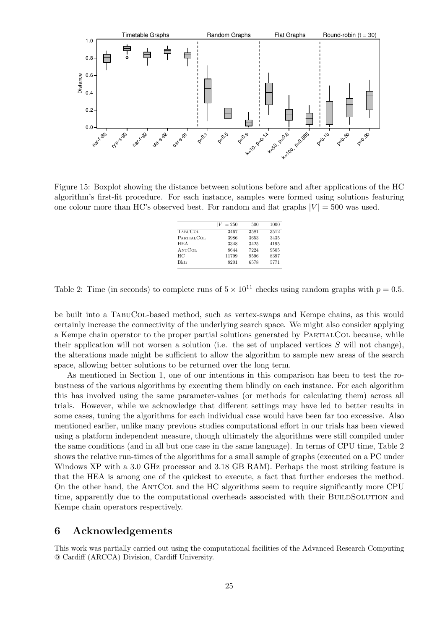

Figure 15: Boxplot showing the distance between solutions before and after applications of the HC algorithm's first-fit procedure. For each instance, samples were formed using solutions featuring one colour more than HC's observed best. For random and flat graphs  $|V| = 500$  was used.

|                | $= 250$ | 500  | 1000 |
|----------------|---------|------|------|
| <b>TABUCOL</b> | 3467    | 3581 | 3512 |
| PARTIALCOL     | 3986    | 3653 | 3435 |
| HE A           | 3348    | 3425 | 4195 |
| ANTCOL         | 8644    | 7224 | 9505 |
| HС             | 11799   | 9596 | 8397 |
| Bktr           | 8201    | 6578 | 5771 |

Table 2: Time (in seconds) to complete runs of  $5 \times 10^{11}$  checks using random graphs with  $p = 0.5$ .

be built into a TabuCol-based method, such as vertex-swaps and Kempe chains, as this would certainly increase the connectivity of the underlying search space. We might also consider applying a Kempe chain operator to the proper partial solutions generated by PARTIALCOL because, while their application will not worsen a solution (i.e. the set of unplaced vertices *S* will not change), the alterations made might be sufficient to allow the algorithm to sample new areas of the search space, allowing better solutions to be returned over the long term.

As mentioned in Section 1, one of our intentions in this comparison has been to test the robustness of the various algorithms by executing them blindly on each instance. For each algorithm this has involved using the same parameter-values (or methods for calculating them) across all trials. However, while we acknowledge that different settings may have led to better results in some cases, tuning the algorithms for each individual case would have been far too excessive. Also mentioned earlier, unlike many previous studies computational effort in our trials has been viewed using a platform independent measure, though ultimately the algorithms were still compiled under the same conditions (and in all but one case in the same language). In terms of CPU time, Table 2 shows the relative run-times of the algorithms for a small sample of graphs (executed on a PC under Windows XP with a 3.0 GHz processor and 3.18 GB RAM). Perhaps the most striking feature is that the HEA is among one of the quickest to execute, a fact that further endorses the method. On the other hand, the AntCol and the HC algorithms seem to require significantly more CPU time, apparently due to the computational overheads associated with their BUILDSOLUTION and Kempe chain operators respectively.

# **6 Acknowledgements**

This work was partially carried out using the computational facilities of the Advanced Research Computing @ Cardiff (ARCCA) Division, Cardiff University.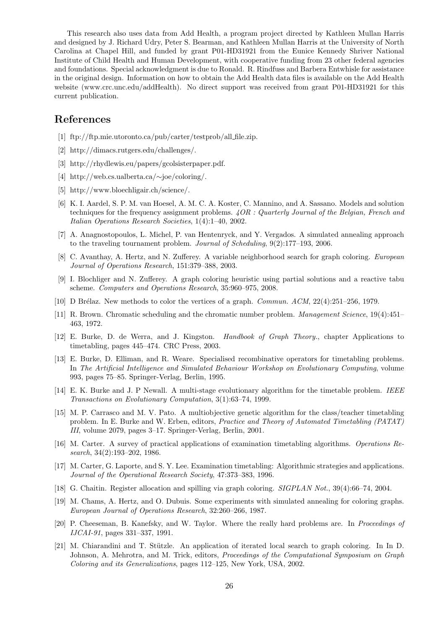This research also uses data from Add Health, a program project directed by Kathleen Mullan Harris and designed by J. Richard Udry, Peter S. Bearman, and Kathleen Mullan Harris at the University of North Carolina at Chapel Hill, and funded by grant P01-HD31921 from the Eunice Kennedy Shriver National Institute of Child Health and Human Development, with cooperative funding from 23 other federal agencies and foundations. Special acknowledgment is due to Ronald. R. Rindfuss and Barbera Entwhisle for assistance in the original design. Information on how to obtain the Add Health data files is available on the Add Health website (www.crc.unc.edu/addHealth). No direct support was received from grant P01-HD31921 for this current publication.

# **References**

- [1] ftp://ftp.mie.utoronto.ca/pub/carter/testprob/all file.zip.
- [2] http://dimacs.rutgers.edu/challenges/.
- [3] http://rhydlewis.eu/papers/gcolsisterpaper.pdf.
- [4] http://web.cs.ualberta.ca/*∼*joe/coloring/.
- [5] http://www.bloechligair.ch/science/.
- [6] K. I. Aardel, S. P. M. van Hoesel, A. M. C. A. Koster, C. Mannino, and A. Sassano. Models and solution techniques for the frequency assignment problems. *4OR : Quarterly Journal of the Belgian, French and Italian Operations Research Societies*, 1(4):1–40, 2002.
- [7] A. Anagnostopoulos, L. Michel, P. van Hentenryck, and Y. Vergados. A simulated annealing approach to the traveling tournament problem. *Journal of Scheduling*, 9(2):177–193, 2006.
- [8] C. Avanthay, A. Hertz, and N. Zufferey. A variable neighborhood search for graph coloring. *European Journal of Operations Research*, 151:379–388, 2003.
- [9] I. Blochliger and N. Zufferey. A graph coloring heuristic using partial solutions and a reactive tabu scheme. *Computers and Operations Research*, 35:960–975, 2008.
- [10] D Brélaz. New methods to color the vertices of a graph. *Commun. ACM*, 22(4):251–256, 1979.
- [11] R. Brown. Chromatic scheduling and the chromatic number problem. *Management Science*, 19(4):451– 463, 1972.
- [12] E. Burke, D. de Werra, and J. Kingston. *Handbook of Graph Theory.*, chapter Applications to timetabling, pages 445–474. CRC Press, 2003.
- [13] E. Burke, D. Elliman, and R. Weare. Specialised recombinative operators for timetabling problems. In *The Artificial Intelligence and Simulated Behaviour Workshop on Evolutionary Computing*, volume 993, pages 75–85. Springer-Verlag, Berlin, 1995.
- [14] E. K. Burke and J. P Newall. A multi-stage evolutionary algorithm for the timetable problem. *IEEE Transactions on Evolutionary Computation*, 3(1):63–74, 1999.
- [15] M. P. Carrasco and M. V. Pato. A multiobjective genetic algorithm for the class/teacher timetabling problem. In E. Burke and W. Erben, editors, *Practice and Theory of Automated Timetabling (PATAT) III*, volume 2079, pages 3–17. Springer-Verlag, Berlin, 2001.
- [16] M. Carter. A survey of practical applications of examination timetabling algorithms. *Operations Research*, 34(2):193–202, 1986.
- [17] M. Carter, G. Laporte, and S. Y. Lee. Examination timetabling: Algorithmic strategies and applications. *Journal of the Operational Research Society*, 47:373–383, 1996.
- [18] G. Chaitin. Register allocation and spilling via graph coloring. *SIGPLAN Not.*, 39(4):66–74, 2004.
- [19] M. Chams, A. Hertz, and O. Dubuis. Some experiments with simulated annealing for coloring graphs. *European Journal of Operations Research*, 32:260–266, 1987.
- [20] P. Cheeseman, B. Kanefsky, and W. Taylor. Where the really hard problems are. In *Proceedings of IJCAI-91*, pages 331–337, 1991.
- [21] M. Chiarandini and T. Stützle. An application of iterated local search to graph coloring. In In D. Johnson, A. Mehrotra, and M. Trick, editors, *Proceedings of the Computational Symposium on Graph Coloring and its Generalizations*, pages 112–125, New York, USA, 2002.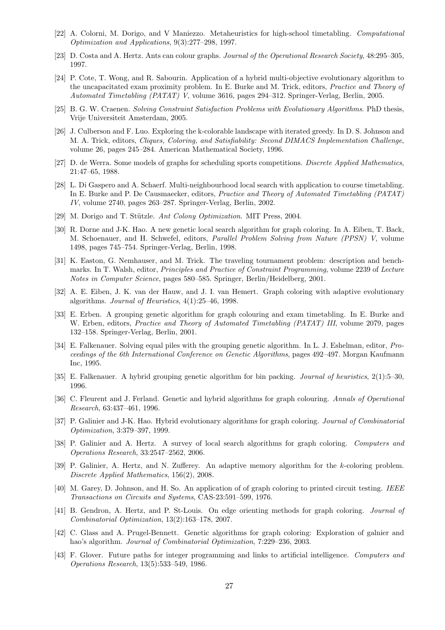- [22] A. Colorni, M. Dorigo, and V Maniezzo. Metaheuristics for high-school timetabling. *Computational Optimization and Applications*, 9(3):277–298, 1997.
- [23] D. Costa and A. Hertz. Ants can colour graphs. *Journal of the Operational Research Society*, 48:295–305, 1997.
- [24] P. Cote, T. Wong, and R. Sabourin. Application of a hybrid multi-objective evolutionary algorithm to the uncapacitated exam proximity problem. In E. Burke and M. Trick, editors, *Practice and Theory of Automated Timetabling (PATAT) V*, volume 3616, pages 294–312. Springer-Verlag, Berlin, 2005.
- [25] B. G. W. Craenen. *Solving Constraint Satisfaction Problems with Evolutionary Algorithms*. PhD thesis, Vrije Universiteit Amsterdam, 2005.
- [26] J. Culberson and F. Luo. Exploring the k-colorable landscape with iterated greedy. In D. S. Johnson and M. A. Trick, editors, *Cliques, Coloring, and Satisfiability: Second DIMACS Implementation Challenge*, volume 26, pages 245–284. American Mathematical Society, 1996.
- [27] D. de Werra. Some models of graphs for scheduling sports competitions. *Discrete Applied Mathematics*, 21:47–65, 1988.
- [28] L. Di Gaspero and A. Schaerf. Multi-neighbourhood local search with application to course timetabling. In E. Burke and P. De Causmaecker, editors, *Practice and Theory of Automated Timetabling (PATAT) IV*, volume 2740, pages 263–287. Springer-Verlag, Berlin, 2002.
- [29] M. Dorigo and T. Stützle. *Ant Colony Optimization*. MIT Press, 2004.
- [30] R. Dorne and J-K. Hao. A new genetic local search algorithm for graph coloring. In A. Eiben, T. Back, M. Schoenauer, and H. Schwefel, editors, *Parallel Problem Solving from Nature (PPSN) V*, volume 1498, pages 745–754. Springer-Verlag, Berlin, 1998.
- [31] K. Easton, G. Nemhauser, and M. Trick. The traveling tournament problem: description and benchmarks. In T. Walsh, editor, *Principles and Practice of Constraint Programming*, volume 2239 of *Lecture Notes in Computer Science*, pages 580–585. Springer, Berlin/Heidelberg, 2001.
- [32] A. E. Eiben, J. K. van der Hauw, and J. I. van Hemert. Graph coloring with adaptive evolutionary algorithms. *Journal of Heuristics*, 4(1):25–46, 1998.
- [33] E. Erben. A grouping genetic algorithm for graph colouring and exam timetabling. In E. Burke and W. Erben, editors, *Practice and Theory of Automated Timetabling (PATAT) III*, volume 2079, pages 132–158. Springer-Verlag, Berlin, 2001.
- [34] E. Falkenauer. Solving equal piles with the grouping genetic algorithm. In L. J. Eshelman, editor, *Proceedings of the 6th International Conference on Genetic Algorithms*, pages 492–497. Morgan Kaufmann Inc, 1995.
- [35] E. Falkenauer. A hybrid grouping genetic algorithm for bin packing. *Journal of heuristics*, 2(1):5–30, 1996.
- [36] C. Fleurent and J. Ferland. Genetic and hybrid algorithms for graph colouring. *Annals of Operational Research*, 63:437–461, 1996.
- [37] P. Galinier and J-K. Hao. Hybrid evolutionary algorithms for graph coloring. *Journal of Combinatorial Optimization*, 3:379–397, 1999.
- [38] P. Galinier and A. Hertz. A survey of local search algorithms for graph coloring. *Computers and Operations Research*, 33:2547–2562, 2006.
- [39] P. Galinier, A. Hertz, and N. Zufferey. An adaptive memory algorithm for the *k*-coloring problem. *Discrete Applied Mathematics*, 156(2), 2008.
- [40] M. Garey, D. Johnson, and H. So. An application of of graph coloring to printed circuit testing. *IEEE Transactions on Circuits and Systems*, CAS-23:591–599, 1976.
- [41] B. Gendron, A. Hertz, and P. St-Louis. On edge orienting methods for graph coloring. *Journal of Combinatorial Optimization*, 13(2):163–178, 2007.
- [42] C. Glass and A. Prugel-Bennett. Genetic algorithms for graph coloring: Exploration of galnier and hao's algorithm. *Journal of Combinatorial Optimization*, 7:229–236, 2003.
- [43] F. Glover. Future paths for integer programming and links to artificial intelligence. *Computers and Operations Research*, 13(5):533–549, 1986.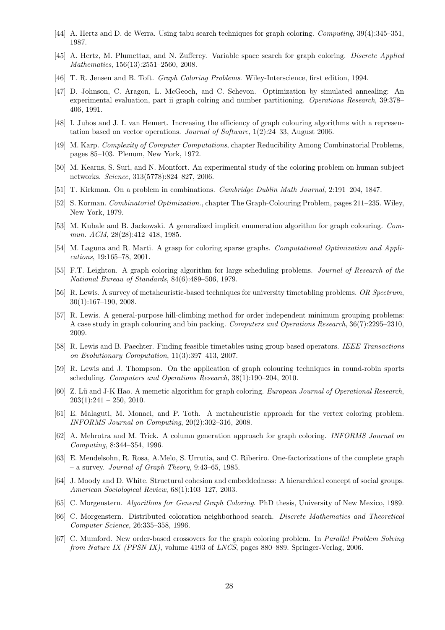- [44] A. Hertz and D. de Werra. Using tabu search techniques for graph coloring. *Computing*, 39(4):345–351, 1987.
- [45] A. Hertz, M. Plumettaz, and N. Zufferey. Variable space search for graph coloring. *Discrete Applied Mathematics*, 156(13):2551–2560, 2008.
- [46] T. R. Jensen and B. Toft. *Graph Coloring Problems*. Wiley-Interscience, first edition, 1994.
- [47] D. Johnson, C. Aragon, L. McGeoch, and C. Schevon. Optimization by simulated annealing: An experimental evaluation, part ii graph colring and number partitioning. *Operations Research*, 39:378– 406, 1991.
- [48] I. Juhos and J. I. van Hemert. Increasing the efficiency of graph colouring algorithms with a representation based on vector operations. *Journal of Software*, 1(2):24–33, August 2006.
- [49] M. Karp. *Complexity of Computer Computations*, chapter Reducibility Among Combinatorial Problems, pages 85–103. Plenum, New York, 1972.
- [50] M. Kearns, S. Suri, and N. Montfort. An experimental study of the coloring problem on human subject networks. *Science*, 313(5778):824–827, 2006.
- [51] T. Kirkman. On a problem in combinations. *Cambridge Dublin Math Journal*, 2:191–204, 1847.
- [52] S. Korman. *Combinatorial Optimization.*, chapter The Graph-Colouring Problem, pages 211–235. Wiley, New York, 1979.
- [53] M. Kubale and B. Jackowski. A generalized implicit enumeration algorithm for graph colouring. *Commun. ACM*, 28(28):412–418, 1985.
- [54] M. Laguna and R. Marti. A grasp for coloring sparse graphs. *Computational Optimization and Applications*, 19:165–78, 2001.
- [55] F.T. Leighton. A graph coloring algorithm for large scheduling problems. *Journal of Research of the National Bureau of Standards*, 84(6):489–506, 1979.
- [56] R. Lewis. A survey of metaheuristic-based techniques for university timetabling problems. *OR Spectrum*, 30(1):167–190, 2008.
- [57] R. Lewis. A general-purpose hill-climbing method for order independent minimum grouping problems: A case study in graph colouring and bin packing. *Computers and Operations Research*, 36(7):2295–2310, 2009.
- [58] R. Lewis and B. Paechter. Finding feasible timetables using group based operators. *IEEE Transactions on Evolutionary Computation*, 11(3):397–413, 2007.
- [59] R. Lewis and J. Thompson. On the application of graph colouring techniques in round-robin sports scheduling. *Computers and Operations Research*, 38(1):190–204, 2010.
- [60] Z. L¨u and J-K Hao. A memetic algorithm for graph coloring. *European Journal of Operational Research*,  $203(1):241 - 250, 2010.$
- [61] E. Malaguti, M. Monaci, and P. Toth. A metaheuristic approach for the vertex coloring problem. *INFORMS Journal on Computing*, 20(2):302–316, 2008.
- [62] A. Mehrotra and M. Trick. A column generation approach for graph coloring. *INFORMS Journal on Computing*, 8:344–354, 1996.
- [63] E. Mendelsohn, R. Rosa, A.Melo, S. Urrutia, and C. Riberiro. One-factorizations of the complete graph – a survey. *Journal of Graph Theory*, 9:43–65, 1985.
- [64] J. Moody and D. White. Structural cohesion and embeddedness: A hierarchical concept of social groups. *American Sociological Review*, 68(1):103–127, 2003.
- [65] C. Morgenstern. *Algorithms for General Graph Coloring*. PhD thesis, University of New Mexico, 1989.
- [66] C. Morgenstern. Distributed coloration neighborhood search. *Discrete Mathematics and Theoretical Computer Science*, 26:335–358, 1996.
- [67] C. Mumford. New order-based crossovers for the graph coloring problem. In *Parallel Problem Solving from Nature IX (PPSN IX)*, volume 4193 of *LNCS*, pages 880–889. Springer-Verlag, 2006.